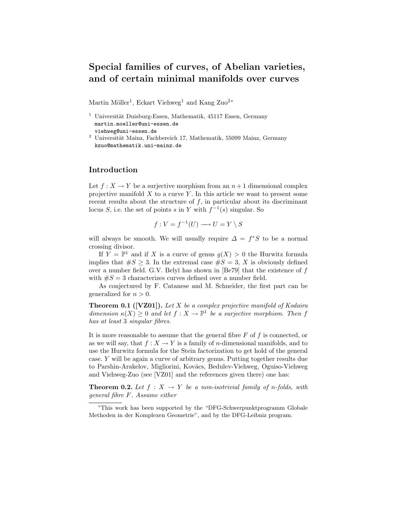# Special families of curves, of Abelian varieties, and of certain minimal manifolds over curves

Martin Möller<sup>1</sup>, Eckart Viehweg<sup>1</sup> and Kang Zuo<sup>2</sup><sup>\*</sup>

- $1$  Universität Duisburg-Essen, Mathematik, 45117 Essen, Germany martin.moeller@uni-essen.de viehweg@uni-essen.de
- $2$  Universität Mainz, Fachbereich 17, Mathematik, 55099 Mainz, Germany kzuo@mathematik.uni-mainz.de

## Introduction

Let  $f: X \to Y$  be a surjective morphism from an  $n+1$  dimensional complex projective manifold  $X$  to a curve  $Y$ . In this article we want to present some recent results about the structure of  $f$ , in particular about its discriminant locus S, i.e. the set of points s in Y with  $f^{-1}(s)$  singular. So

$$
f: V = f^{-1}(U) \longrightarrow U = Y \setminus S
$$

will always be smooth. We will usually require  $\Delta = f^*S$  to be a normal crossing divisor.

If  $Y = \mathbb{P}^1$  and if X is a curve of genus  $g(X) > 0$  the Hurwitz formula implies that  $\#S \geq 3$ . In the extremal case  $\#S = 3$ , X is obviously defined over a number field. G.V. Belyĭ has shown in  $[Be79]$  that the existence of f with  $\#S = 3$  characterizes curves defined over a number field.

As conjectured by F. Catanese and M. Schneider, the first part can be generalized for  $n > 0$ .

**Theorem 0.1 ([VZ01]).** Let  $X$  be a complex projective manifold of Kodaira dimension  $\kappa(X) \geq 0$  and let  $f: X \to \mathbb{P}^1$  be a surjective morphism. Then f has at least 3 singular fibres.

It is more reasonable to assume that the general fibre  $F$  of  $f$  is connected, or as we will say, that  $f: X \to Y$  is a family of *n*-dimensional manifolds, and to use the Hurwitz formula for the Stein factorization to get hold of the general case. Y will be again a curve of arbitrary genus. Putting together results due to Parshin-Arakelov, Migliorini, Kovács, Bedulev-Viehweg, Oguiso-Viehweg and Viehweg-Zuo (see [VZ01] and the references given there) one has:

**Theorem 0.2.** Let  $f: X \to Y$  be a non-isotrivial family of n-folds, with general fibre F. Assume either

<sup>∗</sup>This work has been supported by the "DFG-Schwerpunktprogramm Globale Methoden in der Komplexen Geometrie", and by the DFG-Leibniz program.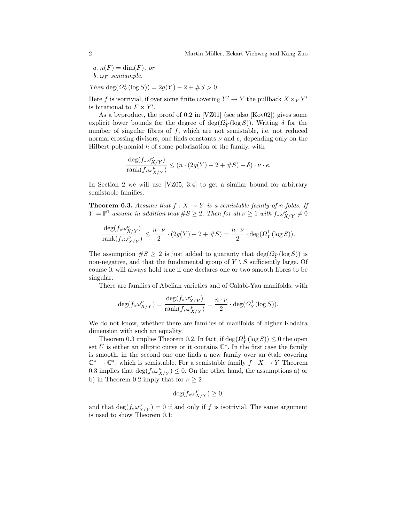a.  $\kappa(F) = \dim(F)$ , or b.  $\omega_F$  semiample.

Then  $deg(\Omega_Y^1(\log S)) = 2g(Y) - 2 + \#S > 0.$ 

Here f is isotrivial, if over some finite covering  $Y' \to Y$  the pullback  $X \times_Y Y'$ is birational to  $F \times Y'$ .

As a byproduct, the proof of 0.2 in [VZ01] (see also [Kov02]) gives some explicit lower bounds for the degree of  $deg(\Omega_Y^1(\log S))$ . Writing  $\delta$  for the number of singular fibres of  $f$ , which are not semistable, i.e. not reduced normal crossing divisors, one finds constants  $\nu$  and  $e$ , depending only on the Hilbert polynomial  $h$  of some polarization of the family, with

$$
\frac{\deg(f_*\omega^{\nu}_{X/Y})}{\operatorname{rank}(f_*\omega^{\nu}_{X/Y})} \le (n \cdot (2g(Y) - 2 + \#S) + \delta) \cdot \nu \cdot e.
$$

In Section 2 we will use [VZ05, 3.4] to get a similar bound for arbitrary semistable families.

**Theorem 0.3.** Assume that  $f : X \to Y$  is a semistable family of n-folds. If  $Y = \mathbb{P}^1$  assume in addition that  $\#S \geq 2$ . Then for all  $\nu \geq 1$  with  $f_* \omega^{\nu}_{X/Y} \neq 0$ 

$$
\frac{\deg(f_*\omega^{\nu}_{X/Y})}{\operatorname{rank}(f_*\omega^{\nu}_{X/Y})}\leq \frac{n\cdot \nu}{2}\cdot(2g(Y)-2+\#S)=\frac{n\cdot \nu}{2}\cdot\deg(\varOmega^1_Y(\log S)).
$$

The assumption  $\#S \geq 2$  is just added to guaranty that  $\deg(\Omega_Y^1(\log S))$  is non-negative, and that the fundamental group of  $Y \setminus S$  sufficiently large. Of course it will always hold true if one declares one or two smooth fibres to be singular.

There are families of Abelian varieties and of Calabi-Yau manifolds, with

$$
\deg(f_*\omega^{\nu}_{X/Y})=\frac{\deg(f_*\omega^{\nu}_{X/Y})}{\operatorname{rank}(f_*\omega^{\nu}_{X/Y})}=\frac{n\cdot \nu}{2}\cdot \deg(\varOmega^1_Y(\log S)).
$$

We do not know, whether there are families of manifolds of higher Kodaira dimension with such an equality.

Theorem 0.3 implies Theorem 0.2. In fact, if  $\deg(\Omega_Y^1(\log S)) \leq 0$  the open set U is either an elliptic curve or it contains  $\mathbb{C}^*$ . In the first case the family is smooth, in the second one one finds a new family over an étale covering  $\mathbb{C}^* \to \mathbb{C}^*$ , which is semistable. For a semistable family  $f: X \to Y$  Theorem 0.3 implies that  $\deg(f_*\omega^{\nu}_{X/Y}) \leq 0$ . On the other hand, the assumptions a) or b) in Theorem 0.2 imply that for  $\nu \geq 2$ 

$$
\deg(f_*\omega^{\nu}_{X/Y}) \ge 0,
$$

and that  $\deg(f_*\omega^{\nu}_{X/Y})=0$  if and only if f is isotrivial. The same argument is used to show Theorem 0.1: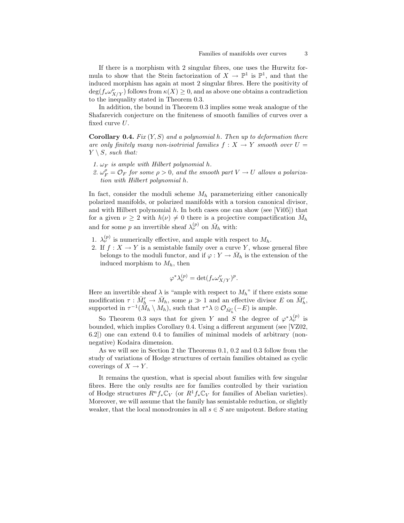If there is a morphism with 2 singular fibres, one uses the Hurwitz formula to show that the Stein factorization of  $X \to \mathbb{P}^1$  is  $\mathbb{P}^1$ , and that the induced morphism has again at most 2 singular fibres. Here the positivity of  $deg(f_*\omega^{\nu}_{X/Y})$  follows from  $\kappa(X) \geq 0$ , and as above one obtains a contradiction to the inequality stated in Theorem 0.3.

In addition, the bound in Theorem 0.3 implies some weak analogue of the Shafarevich conjecture on the finiteness of smooth families of curves over a fixed curve U.

**Corollary 0.4.** Fix  $(Y, S)$  and a polynomial h. Then up to deformation there are only finitely many non-isotrivial families  $f : X \to Y$  smooth over  $U =$  $Y \setminus S$ , such that:

- 1.  $\omega_F$  is ample with Hilbert polynomial h.
- 2.  $\omega_F^{\rho} = \mathcal{O}_F$  for some  $\rho > 0$ , and the smooth part  $V \to U$  allows a polarization with Hilbert polynomial h.

In fact, consider the moduli scheme  $M_h$  parameterizing either canonically polarized manifolds, or polarized manifolds with a torsion canonical divisor, and with Hilbert polynomial  $h$ . In both cases one can show (see [Vi05]) that for a given  $\nu \geq 2$  with  $h(\nu) \neq 0$  there is a projective compactification  $\bar{M}_h$ and for some p an invertible sheaf  $\lambda_{\nu}^{(p)}$  on  $\bar{M}_h$  with:

- 1.  $\lambda_{\nu}^{(p)}$  is numerically effective, and ample with respect to  $M_h$ .
- 2. If  $f: X \to Y$  is a semistable family over a curve Y, whose general fibre belongs to the moduli functor, and if  $\varphi: Y \to \bar{M}_h$  is the extension of the induced morphism to  $M_h$ , then

$$
\varphi^* \lambda_\nu^{(p)} = \det(f_* \omega_{X/Y}^{\nu})^p.
$$

Here an invertible sheaf  $\lambda$  is "ample with respect to  $M_h$ " if there exists some modification  $\tau : \bar{M}'_h \to \bar{M}_h$ , some  $\mu \gg 1$  and an effective divisor E on  $\bar{M}'_h$ , supported in  $\tau^{-1}(M_h \setminus M_h)$ , such that  $\tau^* \lambda \otimes \mathcal{O}_{\bar{M}'_h}(-E)$  is ample.

So Theorem 0.3 says that for given Y and S the degree of  $\varphi^*\lambda^{(p)}_\nu$  is bounded, which implies Corollary 0.4. Using a different argument (see [VZ02, 6.2]) one can extend 0.4 to families of minimal models of arbitrary (nonnegative) Kodaira dimension.

As we will see in Section 2 the Theorems 0.1, 0.2 and 0.3 follow from the study of variations of Hodge structures of certain families obtained as cyclic coverings of  $X \to Y$ .

It remains the question, what is special about families with few singular fibres. Here the only results are for families controlled by their variation of Hodge structures  $R^n f_* \mathbb{C}_V$  (or  $R^1 f_* \mathbb{C}_V$  for families of Abelian varieties). Moreover, we will assume that the family has semistable reduction, or slightly weaker, that the local monodromies in all  $s \in S$  are unipotent. Before stating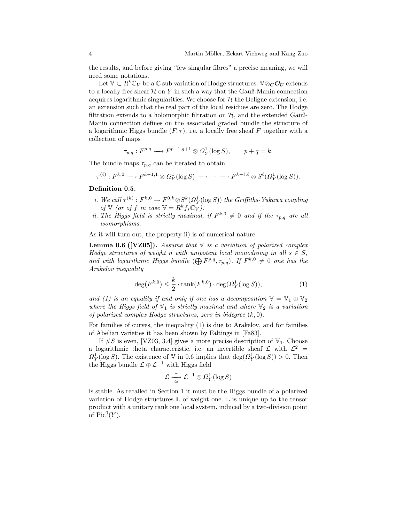the results, and before giving "few singular fibres" a precise meaning, we will need some notations.

Let  $\mathbb{V} \subset R^k \mathbb{C}_V$  be a  $\mathbb{C}$  sub variation of Hodge structures.  $\mathbb{V} \otimes_C \mathcal{O}_U$  extends to a locally free sheaf  $H$  on Y in such a way that the Gauß-Manin connection acquires logarithmic singularities. We choose for  $H$  the Deligne extension, i.e. an extension such that the real part of the local residues are zero. The Hodge filtration extends to a holomorphic filtration on  $H$ , and the extended Gauß-Manin connection defines on the associated graded bundle the structure of a logarithmic Higgs bundle  $(F, \tau)$ , i.e. a locally free sheaf F together with a collection of maps

$$
\tau_{p,q}: F^{p,q} \longrightarrow F^{p-1,q+1} \otimes \Omega^1_Y(\log S), \qquad p+q=k.
$$

The bundle maps  $\tau_{p,q}$  can be iterated to obtain

$$
\tau^{(\ell)}: F^{k,0} \longrightarrow F^{k-1,1} \otimes \Omega^1_Y(\log S) \longrightarrow \cdots \longrightarrow F^{k-\ell,\ell} \otimes S^{\ell}(\Omega^1_Y(\log S)).
$$

#### Definition 0.5.

- i. We call  $\tau^{(k)}: F^{k,0} \to F^{0,k} \otimes S^k(\Omega^1_Y(\log S))$  the Griffiths-Yukawa coupling of V (or of f in case  $\mathbb{V} = R^k f_* \mathbb{C}_V$ ).
- ii. The Higgs field is strictly maximal, if  $F^{k,0} \neq 0$  and if the  $\tau_{p,q}$  are all isomorphisms.

As it will turn out, the property ii) is of numerical nature.

**Lemma 0.6 ([VZ05]).** Assume that  $\mathbb{V}$  is a variation of polarized complex Hodge structures of weight n with unipotent local monodromy in all  $s \in S$ , and with logarithmic Higgs bundle  $(\bigoplus F^{p,q}, \tau_{p,q})$ . If  $F^{k,0} \neq 0$  one has the Arakelov inequality

$$
\deg(F^{k,0}) \le \frac{k}{2} \cdot \operatorname{rank}(F^{k,0}) \cdot \deg(\Omega_Y^1(\log S)),\tag{1}
$$

and (1) is an equality if and only if one has a decomposition  $\mathbb{V} = \mathbb{V}_1 \oplus \mathbb{V}_2$ where the Higgs field of  $\mathbb{V}_1$  is strictly maximal and where  $\mathbb{V}_2$  is a variation of polarized complex Hodge structures, zero in bidegree  $(k, 0)$ .

For families of curves, the inequality (1) is due to Arakelov, and for families of Abelian varieties it has been shown by Faltings in [Fa83].

If  $\#S$  is even, [VZ03, 3.4] gives a more precise description of  $\mathbb{V}_1$ . Choose a logarithmic theta characteristic, i.e. an invertible sheaf  $\mathcal{L}$  with  $\mathcal{L}^2$  =  $\Omega_Y^1(\log S)$ . The existence of V in 0.6 implies that  $\deg(\Omega_Y^1(\log S)) > 0$ . Then the Higgs bundle  $\mathcal{L} \oplus \mathcal{L}^{-1}$  with Higgs field

$$
\mathcal{L} \overset{\tau}{\underset{\simeq}{\rightharpoonup}} \mathcal{L}^{-1} \otimes \varOmega^1_Y(\log S)
$$

is stable. As recalled in Section 1 it must be the Higgs bundle of a polarized variation of Hodge structures  $\mathbb L$  of weight one.  $\mathbb L$  is unique up to the tensor product with a unitary rank one local system, induced by a two-division point of  $Pic^0(Y)$ .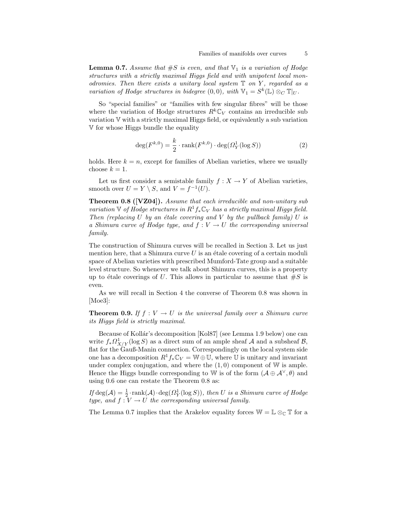**Lemma 0.7.** Assume that  $#S$  is even, and that  $\mathbb{V}_1$  is a variation of Hodge structures with a strictly maximal Higgs field and with unipotent local monodromies. Then there exists a unitary local system  $\mathbb T$  on Y, regarded as a variation of Hodge structures in bidegree  $(0,0)$ , with  $\mathbb{V}_1 = S^k(\mathbb{L}) \otimes_C \mathbb{T}|_U$ .

So "special families" or "families with few singular fibres" will be those where the variation of Hodge structures  $R^k\mathbb{C}_V$  contains an irreducible sub variation V with a strictly maximal Higgs field, or equivalently a sub variation V for whose Higgs bundle the equality

$$
\deg(F^{k,0}) = \frac{k}{2} \cdot \operatorname{rank}(F^{k,0}) \cdot \deg(\Omega_Y^1(\log S)) \tag{2}
$$

holds. Here  $k = n$ , except for families of Abelian varieties, where we usually choose  $k = 1$ .

Let us first consider a semistable family  $f : X \to Y$  of Abelian varieties. smooth over  $U = Y \setminus S$ , and  $V = f^{-1}(U)$ .

Theorem 0.8 ([VZ04]). Assume that each irreducible and non-unitary sub variation  $\mathbb V$  of Hodge structures in  $R^1f_*\mathbb C_V$  has a strictly maximal Higgs field. Then (replacing U by an étale covering and V by the pullback family) U is a Shimura curve of Hodge type, and  $f: V \to U$  the corresponding universal family.

The construction of Shimura curves will be recalled in Section 3. Let us just mention here, that a Shimura curve  $U$  is an étale covering of a certain moduli space of Abelian varieties with prescribed Mumford-Tate group and a suitable level structure. So whenever we talk about Shimura curves, this is a property up to étale coverings of U. This allows in particular to assume that  $\#S$  is even.

As we will recall in Section 4 the converse of Theorem 0.8 was shown in [Moe3]:

**Theorem 0.9.** If  $f: V \to U$  is the universal family over a Shimura curve its Higgs field is strictly maximal.

Because of Kollár's decomposition [Kol87] (see Lemma 1.9 below) one can write  $f_*\Omega^1_{X/Y}(\log S)$  as a direct sum of an ample sheaf A and a subsheaf B, flat for the Gauß-Manin connection. Correspondingly on the local system side one has a decomposition  $R^1f_*\mathbb{C}_V = \mathbb{W} \oplus \mathbb{U}$ , where U is unitary and invariant under complex conjugation, and where the  $(1, 0)$  component of W is ample. Hence the Higgs bundle corresponding to W is of the form  $(\mathcal{A} \oplus \mathcal{A}^{\vee}, \theta)$  and using 0.6 one can restate the Theorem 0.8 as:

If  $\deg(\mathcal{A}) = \frac{1}{2} \cdot \text{rank}(\mathcal{A}) \cdot \deg(\Omega_Y^1(\log S))$ , then U is a Shimura curve of Hodge type, and  $f: V \to U$  the corresponding universal family.

The Lemma 0.7 implies that the Arakelov equality forces  $\mathbb{W} = \mathbb{L} \otimes_{\mathbb{C}} \mathbb{T}$  for a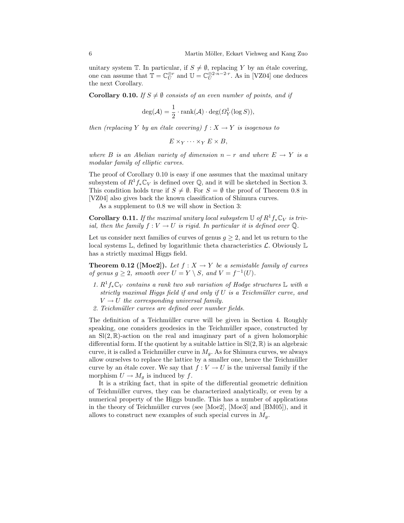unitary system T. In particular, if  $S \neq \emptyset$ , replacing Y by an étale covering, one can assume that  $\mathbb{T} = \mathbb{C}_U^{\oplus r}$  and  $\mathbb{U} = \mathbb{C}_U^{\oplus 2 \cdot n - 2 \cdot r}$ . As in [VZ04] one deduces the next Corollary.

**Corollary 0.10.** If  $S \neq \emptyset$  consists of an even number of points, and if

$$
\deg(\mathcal{A}) = \frac{1}{2} \cdot \operatorname{rank}(\mathcal{A}) \cdot \deg(\Omega_Y^1(\log S)),
$$

then (replacing Y by an étale covering)  $f : X \to Y$  is isogenous to

$$
E \times_Y \cdots \times_Y E \times B,
$$

where B is an Abelian variety of dimension  $n - r$  and where  $E \rightarrow Y$  is a modular family of elliptic curves.

The proof of Corollary 0.10 is easy if one assumes that the maximal unitary subsystem of  $R^1f_*\mathbb{C}_V$  is defined over  $\mathbb{Q}$ , and it will be sketched in Section 3. This condition holds true if  $S \neq \emptyset$ . For  $S = \emptyset$  the proof of Theorem 0.8 in [VZ04] also gives back the known classification of Shimura curves.

As a supplement to 0.8 we will show in Section 3:

**Corollary 0.11.** If the maximal unitary local subsystem  $\mathbb{U}$  of  $R^1$  f<sub>\*</sub> $\mathbb{C}_V$  is trivial, then the family  $f: V \to U$  is rigid. In particular it is defined over  $\overline{Q}$ .

Let us consider next families of curves of genus  $q \geq 2$ , and let us return to the local systems  $\mathbb{L}$ , defined by logarithmic theta characteristics  $\mathcal{L}$ . Obviously  $\mathbb{L}$ has a strictly maximal Higgs field.

**Theorem 0.12 ([Moe2]).** Let  $f : X \to Y$  be a semistable family of curves of genus  $g \geq 2$ , smooth over  $U = Y \setminus S$ , and  $V = f^{-1}(U)$ .

- 1.  $R^1f_*\mathbb{C}_V$  contains a rank two sub variation of Hodge structures L with a strictly maximal Higgs field if and only if  $U$  is a Teichmüller curve, and  $V \rightarrow U$  the corresponding universal family.
- 2. Teichmüller curves are defined over number fields.

The definition of a Teichmüller curve will be given in Section 4. Roughly speaking, one considers geodesics in the Teichmüller space, constructed by an  $\text{Sl}(2,\mathbb{R})$ -action on the real and imaginary part of a given holomorphic differential form. If the quotient by a suitable lattice in  $\text{Sl}(2,\mathbb{R})$  is an algebraic curve, it is called a Teichmüller curve in  $M<sub>g</sub>$ . As for Shimura curves, we always allow ourselves to replace the lattice by a smaller one, hence the Teichmüller curve by an étale cover. We say that  $f : V \to U$  is the universal family if the morphism  $U \to M_q$  is induced by f.

It is a striking fact, that in spite of the differential geometric definition of Teichmüller curves, they can be characterized analytically, or even by a numerical property of the Higgs bundle. This has a number of applications in the theory of Teichmüller curves (see [Moe2], [Moe3] and [BM05]), and it allows to construct new examples of such special curves in  $M<sub>g</sub>$ .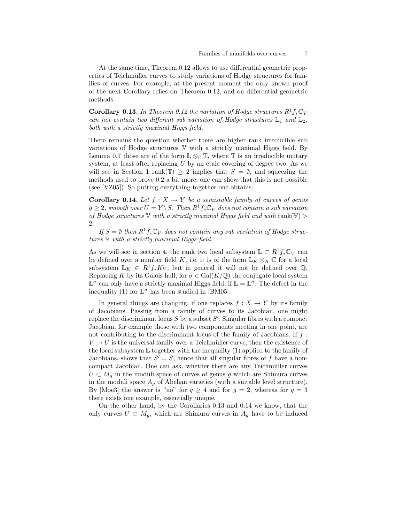At the same time, Theorem 0.12 allows to use differential geometric properties of Teichmüller curves to study variations of Hodge structures for families of curves. For example, at the present moment the only known proof of the next Corollary relies on Theorem 0.12, and on differential geometric methods.

**Corollary 0.13.** In Theorem 0.12 the variation of Hodge structures  $R^1f_*\mathbb{C}_V$ can not contain two different sub variation of Hodge structures  $\mathbb{L}_1$  and  $\mathbb{L}_2$ , both with a strictly maximal Higgs field.

There remains the question whether there are higher rank irreducible sub variations of Hodge structures V with a strictly maximal Higgs field. By Lemma 0.7 those are of the form  $\mathbb{L} \otimes_{\mathbb{C}} \mathbb{T}$ , where  $\mathbb{T}$  is an irreducible unitary system, at least after replacing  $U$  by an étale covering of degree two. As we will see in Section 1 rank(T)  $\geq$  2 implies that  $S = \emptyset$ , and squeezing the methods used to prove 0.2 a bit more, one can show that this is not possible (see [VZ05]). So putting everything together one obtains:

**Corollary 0.14.** Let  $f : X \to Y$  be a semistable family of curves of genus  $g \geq 2$ , smooth over  $U = Y \backslash S$ . Then  $R^1f_*\mathbb{C}_V$  does not contain a sub variation of Hodge structures  $\nabla$  with a strictly maximal Higgs field and with rank $(\nabla)$ 2.

If  $S = \emptyset$  then  $R^1f_*\mathbb{C}_V$  does not contain any sub variation of Hodge structures V with a strictly maximal Higgs field.

As we will see in section 4, the rank two local subsystem  $\mathbb{L} \subset R^1f_*\mathbb{C}_V$  can be defined over a number field K, i.e. it is of the form  $\mathbb{L}_K \otimes_K \mathbb{C}$  for a local subsystem  $\mathbb{L}_K \in R^1f_*K_V$ , but in general it will not be defined over Q. Replacing K by its Galois hull, for  $\sigma \in \text{Gal}(K/\mathbb{Q})$  the conjugate local system  $\mathbb{L}^{\sigma}$  can only have a strictly maximal Higgs field, if  $\mathbb{L} = \mathbb{L}^{\sigma}$ . The defect in the inequality (1) for  $\mathbb{L}^{\sigma}$  has been studied in [BM05].

In general things are changing, if one replaces  $f : X \to Y$  by its family of Jacobians. Passing from a family of curves to its Jacobian, one might replace the discriminant locus  $S$  by a subset  $S'$ . Singular fibres with a compact Jacobian, for example those with two components meeting in one point, are not contributing to the discriminant locus of the family of Jacobians. If  $f$ :  $V \rightarrow U$  is the universal family over a Teichmüller curve, then the existence of the local subsystem  $\mathbb L$  together with the inequality (1) applied to the family of Jacobians, shows that  $S' = S$ , hence that all singular fibres of f have a noncompact Jacobian. One can ask, whether there are any Teichmüller curves  $U \subset M_q$  in the moduli space of curves of genus g which are Shimura curves in the moduli space  $A_q$  of Abelian varieties (with a suitable level structure). By [Moe3] the answer is "no" for  $g \ge 4$  and for  $g = 2$ , whereas for  $g = 3$ there exists one example, essentially unique.

On the other hand, by the Corollaries 0.13 and 0.14 we know, that the only curves  $U \subset M_g$ , which are Shimura curves in  $A_g$  have to be induced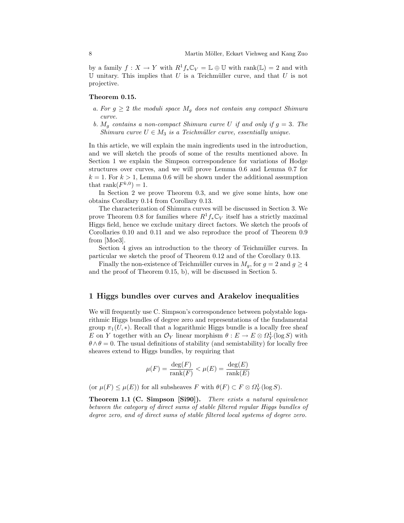by a family  $f: X \to Y$  with  $R^1f_*\mathbb{C}_V = \mathbb{L} \oplus \mathbb{U}$  with rank $(\mathbb{L}) = 2$  and with  $U$  unitary. This implies that  $U$  is a Teichmüller curve, and that  $U$  is not projective.

#### Theorem 0.15.

- a. For  $g \geq 2$  the moduli space  $M_g$  does not contain any compact Shimura curve.
- b.  $M_q$  contains a non-compact Shimura curve U if and only if  $q = 3$ . The Shimura curve  $U \in M_3$  is a Teichmüller curve, essentially unique.

In this article, we will explain the main ingredients used in the introduction, and we will sketch the proofs of some of the results mentioned above. In Section 1 we explain the Simpson correspondence for variations of Hodge structures over curves, and we will prove Lemma 0.6 and Lemma 0.7 for  $k = 1$ . For  $k > 1$ , Lemma 0.6 will be shown under the additional assumption that  $\text{rank}(F^{k,0}) = 1$ .

In Section 2 we prove Theorem 0.3, and we give some hints, how one obtains Corollary 0.14 from Corollary 0.13.

The characterization of Shimura curves will be discussed in Section 3. We prove Theorem 0.8 for families where  $R^1f_*\mathbb{C}_V$  itself has a strictly maximal Higgs field, hence we exclude unitary direct factors. We sketch the proofs of Corollaries 0.10 and 0.11 and we also reproduce the proof of Theorem 0.9 from [Moe3].

Section 4 gives an introduction to the theory of Teichmüller curves. In particular we sketch the proof of Theorem 0.12 and of the Corollary 0.13.

Finally the non-existence of Teichmüller curves in  $M_q$ , for  $g = 2$  and  $g \geq 4$ and the proof of Theorem 0.15, b), will be discussed in Section 5.

## 1 Higgs bundles over curves and Arakelov inequalities

We will frequently use C. Simpson's correspondence between polystable logarithmic Higgs bundles of degree zero and representations of the fundamental group  $\pi_1(U, *)$ . Recall that a logarithmic Higgs bundle is a locally free sheaf E on Y together with an  $\mathcal{O}_Y$  linear morphism  $\theta : E \to E \otimes \Omega_Y^1(\log S)$  with  $\theta \wedge \theta = 0$ . The usual definitions of stability (and semistability) for locally free sheaves extend to Higgs bundles, by requiring that

$$
\mu(F) = \frac{\deg(F)}{\text{rank}(F)} < \mu(E) = \frac{\deg(E)}{\text{rank}(E)}
$$

(or  $\mu(F) \leq \mu(E)$ ) for all subsheaves F with  $\theta(F) \subset F \otimes \Omega_Y^1(\log S)$ .

Theorem 1.1 (C. Simpson [Si90]). There exists a natural equivalence between the category of direct sums of stable filtered regular Higgs bundles of degree zero, and of direct sums of stable filtered local systems of degree zero.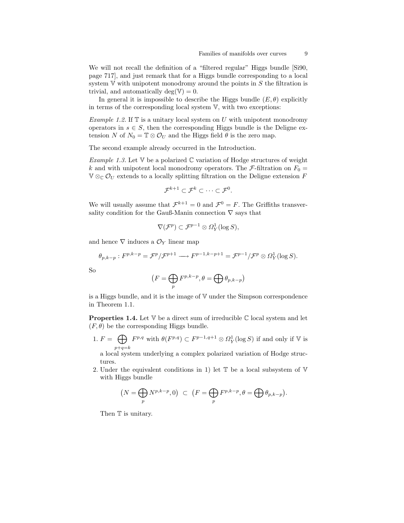We will not recall the definition of a "filtered regular" Higgs bundle [Si90, page 717], and just remark that for a Higgs bundle corresponding to a local system  $V$  with unipotent monodromy around the points in  $S$  the filtration is trivial, and automatically deg( $V = 0$ .

In general it is impossible to describe the Higgs bundle  $(E, \theta)$  explicitly in terms of the corresponding local system V, with two exceptions:

Example 1.2. If  $T$  is a unitary local system on U with unipotent monodromy operators in  $s \in S$ , then the corresponding Higgs bundle is the Deligne extension N of  $N_0 = \mathbb{T} \otimes \mathcal{O}_U$  and the Higgs field  $\theta$  is the zero map.

The second example already occurred in the Introduction.

Example 1.3. Let  $V$  be a polarized  $C$  variation of Hodge structures of weight k and with unipotent local monodromy operators. The F-filtration on  $F_0 =$  $\mathbb{V} \otimes_{\mathbb{C}} \mathcal{O}_U$  extends to a locally splitting filtration on the Deligne extension F

$$
\mathcal{F}^{k+1}\subset \mathcal{F}^k\subset\cdots\subset \mathcal{F}^0.
$$

We will usually assume that  $\mathcal{F}^{k+1} = 0$  and  $\mathcal{F}^0 = F$ . The Griffiths transversality condition for the Gauß-Manin connection  $\nabla$  says that

$$
\nabla(\mathcal{F}^p) \subset \mathcal{F}^{p-1} \otimes \Omega^1_Y(\log S),
$$

and hence  $\nabla$  induces a  $\mathcal{O}_Y$  linear map

$$
\theta_{p,k-p}:F^{p,k-p}=\mathcal{F}^p/\mathcal{F}^{p+1}\longrightarrow F^{p-1,k-p+1}=\mathcal{F}^{p-1}/\mathcal{F}^p\otimes\Omega^1_Y(\log S).
$$

So

$$
(F = \bigoplus_{p} F^{p,k-p}, \theta = \bigoplus_{p,k-p} \theta_{p,k-p})
$$

is a Higgs bundle, and it is the image of V under the Simpson correspondence in Theorem 1.1.

**Properties 1.4.** Let  $V$  be a direct sum of irreducible  $\mathbb{C}$  local system and let  $(F, \theta)$  be the corresponding Higgs bundle.

1.  $F = \bigoplus F^{p,q}$  with  $\theta(F^{p,q}) \subset F^{p-1,q+1} \otimes \Omega_Y^1(\log S)$  if and only if V is  $p+q=k$ 

a local system underlying a complex polarized variation of Hodge structures.

2. Under the equivalent conditions in 1) let  $\mathbb T$  be a local subsystem of  $\mathbb V$ with Higgs bundle

$$
(N = \bigoplus_{p} N^{p,k-p}, 0) \subset (F = \bigoplus_{p} F^{p,k-p}, \theta = \bigoplus_{p} \theta_{p,k-p}).
$$

Then  $\mathbb T$  is unitary.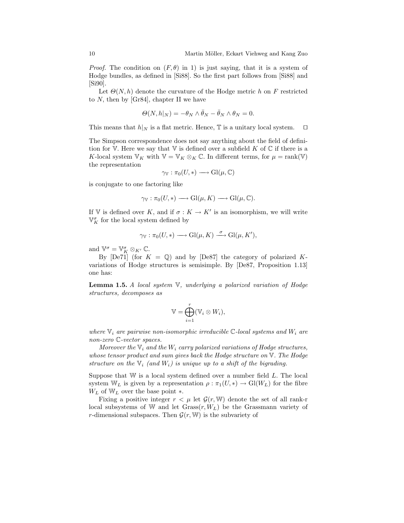*Proof.* The condition on  $(F, \theta)$  in 1) is just saying, that it is a system of Hodge bundles, as defined in [Si88]. So the first part follows from [Si88] and [Si90].

Let  $\Theta(N, h)$  denote the curvature of the Hodge metric h on F restricted to N, then by [Gr84], chapter II we have

$$
\Theta(N, h|_N) = -\theta_N \wedge \bar{\theta}_N - \bar{\theta}_N \wedge \theta_N = 0.
$$

This means that  $h|_N$  is a flat metric. Hence,  $\mathbb T$  is a unitary local system.  $\Box$ 

The Simpson correspondence does not say anything about the field of definition for  $V$ . Here we say that  $V$  is defined over a subfield K of  $C$  if there is a K-local system  $\mathbb{V}_K$  with  $\mathbb{V} = \mathbb{V}_K \otimes_K \mathbb{C}$ . In different terms, for  $\mu = \text{rank}(\mathbb{V})$ the representation

$$
\gamma_{\mathbb{V}} : \pi_0(U, *) \longrightarrow \mathrm{Gl}(\mu,\mathbb{C})
$$

is conjugate to one factoring like

$$
\gamma_{\mathbb{V}} : \pi_0(U, *) \longrightarrow \mathrm{Gl}(\mu, K) \longrightarrow \mathrm{Gl}(\mu, \mathbb{C}).
$$

If V is defined over K, and if  $\sigma: K \to K'$  is an isomorphism, we will write  $\mathbb{V}^{\sigma}_K$  for the local system defined by

$$
\gamma_{\mathbb{V}} : \pi_0(U, *) \longrightarrow Gl(\mu, K) \xrightarrow{\sigma} Gl(\mu, K'),
$$

and  $\mathbb{V}^{\sigma} = \mathbb{V}^{\sigma}_{K} \otimes_{K'} \mathbb{C}$ .

By  $[De71]$  (for  $K = \mathbb{Q}$ ) and by  $[De87]$  the category of polarized Kvariations of Hodge structures is semisimple. By [De87, Proposition 1.13] one has:

**Lemma 1.5.** A local system  $\nabla$ , underlying a polarized variation of Hodge structures, decomposes as

$$
\mathbb{V} = \bigoplus_{i=1}^r (\mathbb{V}_i \otimes W_i),
$$

where  $\mathbb{V}_i$  are pairwise non-isomorphic irreducible  $\mathbb{C}$ -local systems and  $W_i$  are non-zero C-vector spaces.

Moreover the  $V_i$  and the  $W_i$  carry polarized variations of Hodge structures, whose tensor product and sum gives back the Hodge structure on  $\nabla$ . The Hodge structure on the  $V_i$  (and  $W_i$ ) is unique up to a shift of the bigrading.

Suppose that  $W$  is a local system defined over a number field  $L$ . The local system  $W_L$  is given by a representation  $\rho : \pi_1(U, *) \to Gl(W_L)$  for the fibre  $W_L$  of  $W_L$  over the base point  $*$ .

Fixing a positive integer  $r < \mu$  let  $\mathcal{G}(r, \mathbb{W})$  denote the set of all rank-r local subsystems of W and let  $Grass(r, W_L)$  be the Grassmann variety of r-dimensional subspaces. Then  $\mathcal{G}(r, \mathbb{W})$  is the subvariety of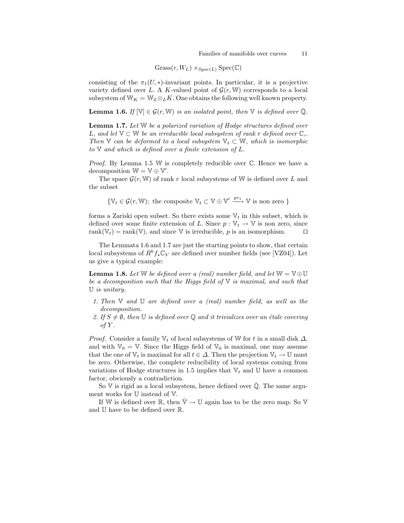$Gress(r, W_L) \times_{Spec(L)} Spec(\mathbb{C})$ 

consisting of the  $\pi_1(U,*)$ -invariant points. In particular, it is a projective variety defined over L. A K-valued point of  $\mathcal{G}(r, \mathbb{W})$  corresponds to a local subsystem of  $W_K = W_L \otimes_L K$ . One obtains the following well known property.

**Lemma 1.6.** If  $[\mathbb{V}] \in \mathcal{G}(r, \mathbb{W})$  is an isolated point, then  $\mathbb{V}$  is defined over  $\mathbb{Q}$ .

Lemma 1.7. Let W be a polarized variation of Hodge structures defined over L, and let  $\mathbb{V} \subset \mathbb{W}$  be an irreducible local subsystem of rank r defined over  $\mathbb{C}$ . Then  $\mathbb{V}$  can be deformed to a local subsystem  $\mathbb{V}_t \subset \mathbb{W}$ , which is isomorphic to  $\nabla$  and which is defined over a finite extension of  $L$ .

*Proof.* By Lemma 1.5 W is completely reducible over  $\mathbb{C}$ . Hence we have a decomposition  $\mathbb{W} = \mathbb{V} \oplus \mathbb{V}'$ .

The space  $\mathcal{G}(r, \mathbb{W})$  of rank r local subsystems of W is defined over L and the subset

 $\{\mathbb{V}_t \in \mathcal{G}(r, \mathbb{W}); \text{ the composite } \mathbb{V}_t \subset \mathbb{V} \oplus \mathbb{V}' \xrightarrow{pr_1} \mathbb{V} \text{ is non zero }\}$ 

forms a Zariski open subset. So there exists some  $V_t$  in this subset, which is defined over some finite extension of L. Since  $p : \mathbb{V}_t \to \mathbb{V}$  is non zero, since rank( $V_t$ ) = rank(V), and since V is irreducible, p is an isomorphism.

The Lemmata 1.6 and 1.7 are just the starting points to show, that certain local subsystems of  $R^k f_* \mathbb{C}_V$  are defined over number fields (see [VZ04]). Let us give a typical example:

**Lemma 1.8.** Let W be defined over a (real) number field, and let  $\mathbb{W} = \mathbb{V} \oplus \mathbb{U}$ be a decomposition such that the Higgs field of  $V$  is maximal, and such that U is unitary.

- 1. Then  $\mathbb V$  and  $\mathbb U$  are defined over a (real) number field, as well as the decomposition.
- 2. If  $S \neq \emptyset$ , then U is defined over Q and it trivializes over an étale covering of  $Y$ .

*Proof.* Consider a family  $\mathbb{V}_t$  of local subsystems of W for t in a small disk  $\Delta$ , and with  $\mathbb{V}_0 = \mathbb{V}$ . Since the Higgs field of  $\mathbb{V}_0$  is maximal, one may assume that the one of  $\mathbb{V}_t$  is maximal for all  $t \in \Delta$ . Then the projection  $\mathbb{V}_t \to \mathbb{U}$  must be zero. Otherwise, the complete reducibility of local systems coming from variations of Hodge structures in 1.5 implies that  $V_t$  and U have a common factor, obviously a contradiction.

So  $V$  is rigid as a local subsystem, hence defined over  $\overline{Q}$ . The same argument works for U instead of V.

If W is defined over R, then  $\nabla \rightarrow \mathbb{U}$  again has to be the zero map. So V and U have to be defined over R.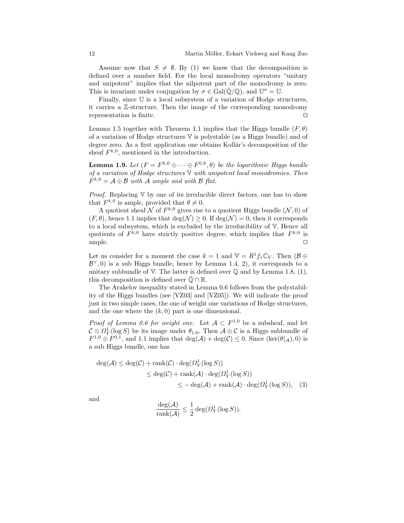Assume now that  $S \neq \emptyset$ . By (1) we know that the decomposition is defined over a number field. For the local monodromy operators "unitary and unipotent" implies that the nilpotent part of the monodromy is zero. This is invariant under conjugation by  $\sigma \in \text{Gal}(\bar{\mathbb{Q}}/\mathbb{Q})$ , and  $\mathbb{U}^{\sigma} = \mathbb{U}$ .

Finally, since  $\mathbb U$  is a local subsystem of a variation of Hodge structures, it carries a Z-structure. Then the image of the corresponding monodromy representation is finite.  $\Box$ 

Lemma 1.5 together with Theorem 1.1 implies that the Higgs bundle  $(F, \theta)$ of a variation of Hodge structures V is polystable (as a Higgs bundle) and of degree zero. As a first application one obtains Kollár's decomposition of the sheaf  $F^{k,0}$ , mentioned in the introduction.

**Lemma 1.9.** Let  $(F = F^{k,0} \oplus \cdots \oplus F^{0,k}, \theta)$  be the logarithmic Higgs bundle of a variation of Hodge structures  $\nabla$  with unipotent local monodromies. Then  $F^{k,0} = A \oplus B$  with A ample and with B flat.

*Proof.* Replacing  $V$  by one of its irreducible direct factors, one has to show that  $F^{k,0}$  is ample, provided that  $\theta \neq 0$ .

A quotient sheaf  $\mathcal N$  of  $F^{k,0}$  gives rise to a quotient Higgs bundle  $(\mathcal N, 0)$  of  $(F, \theta)$ , hence 1.1 implies that  $deg(\mathcal{N}) \geq 0$ . If  $deg(\mathcal{N}) = 0$ , then it corresponds to a local subsystem, which is excluded by the irreducibility of V. Hence all quotients of  $F^{k,0}$  have strictly positive degree, which implies that  $F^{k,0}$  is ample.  $\Box$ 

Let us consider for a moment the case  $k = 1$  and  $\mathbb{V} = R^1 f_* \mathbb{C}_V$ . Then  $(\mathcal{B} \oplus$  $\mathcal{B}^{\vee},0$  is a sub Higgs bundle, hence by Lemma 1.4, 2), it corresponds to a unitary subbundle of  $V$ . The latter is defined over  $\mathbb Q$  and by Lemma 1.8, (1), this decomposition is defined over  $\mathbb{Q} \cap \mathbb{R}$ .

The Arakelov inequality stated in Lemma 0.6 follows from the polystability of the Higgs bundles (see [VZ03] and [VZ05]). We will indicate the proof just in two simple cases, the one of weight one variations of Hodge structures, and the one where the  $(k, 0)$  part is one dimensional.

*Proof of Lemma 0.6 for weight one.* Let  $A \subset F^{1,0}$  be a subsheaf, and let  $\mathcal{C} \otimes \Omega_Y^1(\log S)$  be its image under  $\theta_{1,0}$ . Then  $\mathcal{A} \oplus \mathcal{C}$  is a Higgs subbundle of  $F^{1,0} \oplus F^{0,1}$ , and 1.1 implies that  $\deg(A) + \deg(C) \leq 0$ . Since  $(\ker(\theta|_{\mathcal{A}}), 0)$  is a sub Higgs bundle, one has

$$
deg(\mathcal{A}) \le deg(\mathcal{C}) + rank(\mathcal{C}) \cdot deg(\Omega_Y^1(\log S))
$$
  
\n
$$
\le deg(\mathcal{C}) + rank(\mathcal{A}) \cdot deg(\Omega_Y^1(\log S))
$$
  
\n
$$
\le -deg(\mathcal{A}) + rank(\mathcal{A}) \cdot deg(\Omega_Y^1(\log S)),
$$
 (3)

and

$$
\frac{\deg(\mathcal{A})}{\text{rank}(\mathcal{A})} \le \frac{1}{2} \deg(\Omega^1_Y(\log S)).
$$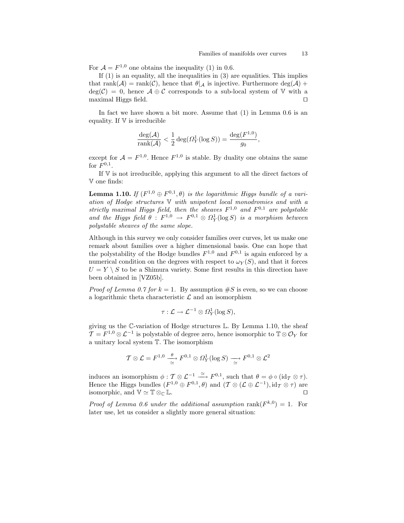For  $\mathcal{A} = F^{1,0}$  one obtains the inequality (1) in 0.6.

If  $(1)$  is an equality, all the inequalities in  $(3)$  are equalities. This implies that rank( $\mathcal{A}$ ) = rank( $\mathcal{C}$ ), hence that  $\theta|_{\mathcal{A}}$  is injective. Furthermore deg( $\mathcal{A}$ ) +  $deg(\mathcal{C}) = 0$ , hence  $\mathcal{A} \oplus \mathcal{C}$  corresponds to a sub-local system of V with a maximal Higgs field.  $\Box$ 

In fact we have shown a bit more. Assume that (1) in Lemma 0.6 is an equality. If  $V$  is irreducible

$$
\frac{\deg(\mathcal{A})}{\operatorname{rank}(\mathcal{A})} < \frac{1}{2} \deg(\Omega_Y^1(\log S)) = \frac{\deg(F^{1,0})}{g_0},
$$

except for  $A = F^{1,0}$ . Hence  $F^{1,0}$  is stable. By duality one obtains the same for  $F^{0,1}$ .

If V is not irreducible, applying this argument to all the direct factors of V one finds:

**Lemma 1.10.** If  $(F^{1,0} \oplus F^{0,1}, \theta)$  is the logarithmic Higgs bundle of a variation of Hodge structures V with unipotent local monodromies and with a strictly maximal Higgs field, then the sheaves  $F^{1,0}$  and  $F^{0,1}$  are polystable and the Higgs field  $\theta$ :  $F^{1,0} \rightarrow F^{0,1} \otimes \Omega_Y^1(\log S)$  is a morphism between polystable sheaves of the same slope.

Although in this survey we only consider families over curves, let us make one remark about families over a higher dimensional basis. One can hope that the polystability of the Hodge bundles  $F^{1,0}$  and  $F^{0,1}$  is again enforced by a numerical condition on the degrees with respect to  $\omega_Y(S)$ , and that it forces  $U = Y \setminus S$  to be a Shimura variety. Some first results in this direction have been obtained in [VZ05b].

*Proof of Lemma 0.7 for*  $k = 1$ . By assumption  $\#S$  is even, so we can choose a logarithmic theta characteristic  $\mathcal L$  and an isomorphism

$$
\tau: \mathcal{L} \to \mathcal{L}^{-1} \otimes \Omega_Y^1(\log S),
$$

giving us the C-variation of Hodge structures L. By Lemma 1.10, the sheaf  $\mathcal{T} = F^{1,0} \otimes \mathcal{L}^{-1}$  is polystable of degree zero, hence isomorphic to  $\mathbb{T} \otimes \mathcal{O}_Y$  for a unitary local system T. The isomorphism

$$
\mathcal{T}\otimes\mathcal{L}=F^{1,0}\stackrel{\theta}{\underset{\simeq}{\rightharpoonup}}F^{0,1}\otimes\varOmega_Y^1(\log S)\stackrel{\longrightarrow}{\underset{\simeq}{\rightharpoonup}}F^{0,1}\otimes\mathcal{L}^2
$$

induces an isomorphism  $\phi: \mathcal{T} \otimes \mathcal{L}^{-1} \stackrel{\simeq}{\longrightarrow} F^{0,1}$ , such that  $\theta = \phi \circ (\mathrm{id}_{\mathcal{T}} \otimes \tau)$ . Hence the Higgs bundles  $(F^{1,0} \oplus F^{0,1}, \theta)$  and  $(\mathcal{T} \otimes (\mathcal{L} \oplus \mathcal{L}^{-1}), id_{\mathcal{T}} \otimes \tau)$  are isomorphic, and  $\mathbb{V} \simeq \mathbb{T} \otimes_{\mathbb{C}} \mathbb{L}$ .

Proof of Lemma 0.6 under the additional assumption rank $(F^{k,0}) = 1$ . For later use, let us consider a slightly more general situation: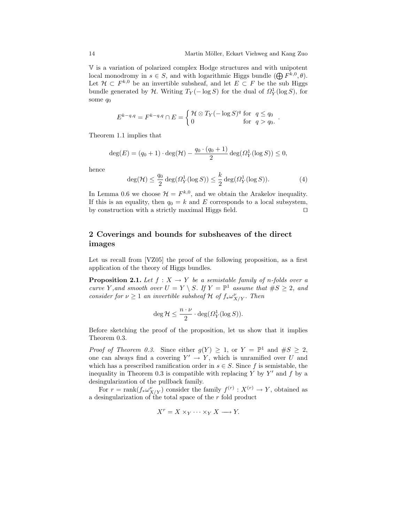.

V is a variation of polarized complex Hodge structures and with unipotent local monodromy in  $s \in S$ , and with logarithmic Higgs bundle  $(\bigoplus F^{k,0}, \theta)$ . Let  $\mathcal{H} \subset F^{k,0}$  be an invertible subsheaf, and let  $E \subset F$  be the sub Higgs bundle generated by  $H$ . Writing  $T_Y(-\log S)$  for the dual of  $\Omega_Y^1(\log S)$ , for some  $q_0$ 

$$
E^{k-q,q} = F^{k-q,q} \cap E = \begin{cases} \mathcal{H} \otimes T_Y(-\log S)^q \text{ for } q \le q_0 \\ 0 \text{ for } q > q_0. \end{cases}
$$

Theorem 1.1 implies that

$$
\deg(E) = (q_0 + 1) \cdot \deg(\mathcal{H}) - \frac{q_0 \cdot (q_0 + 1)}{2} \deg(\Omega_Y^1(\log S)) \le 0,
$$

hence

$$
\deg(\mathcal{H}) \le \frac{q_0}{2} \deg(\Omega^1_Y(\log S)) \le \frac{k}{2} \deg(\Omega^1_Y(\log S)).\tag{4}
$$

In Lemma 0.6 we choose  $\mathcal{H} = F^{k,0}$ , and we obtain the Arakelov inequality. If this is an equality, then  $q_0 = k$  and E corresponds to a local subsystem, by construction with a strictly maximal Higgs field.  $\Box$ 

## 2 Coverings and bounds for subsheaves of the direct images

Let us recall from [VZ05] the proof of the following proposition, as a first application of the theory of Higgs bundles.

**Proposition 2.1.** Let  $f : X \to Y$  be a semistable family of n-folds over a curve Y, and smooth over  $U = Y \setminus S$ . If  $Y = \mathbb{P}^1$  assume that  $\#S \geq 2$ , and consider for  $\nu \geq 1$  an invertible subsheaf H of  $f_* \omega^{\nu}_{X/Y}$ . Then

$$
\deg \mathcal{H} \le \frac{n \cdot \nu}{2} \cdot \deg(\Omega_Y^1(\log S)).
$$

Before sketching the proof of the proposition, let us show that it implies Theorem 0.3.

*Proof of Theorem 0.3.* Since either  $g(Y) \geq 1$ , or  $Y = \mathbb{P}^1$  and  $\#S \geq 2$ , one can always find a covering  $Y' \to Y$ , which is unramified over U and which has a prescribed ramification order in  $s \in S$ . Since f is semistable, the inequality in Theorem 0.3 is compatible with replacing Y by Y' and  $f$  by a desingularization of the pullback family.

For  $r = \text{rank}(f_* \omega_{X/Y}^{\nu})$  consider the family  $f^{(r)} : X^{(r)} \to Y$ , obtained as a desingularization of the total space of the  $r$  fold product

$$
X^r = X \times_Y \cdots \times_Y X \longrightarrow Y.
$$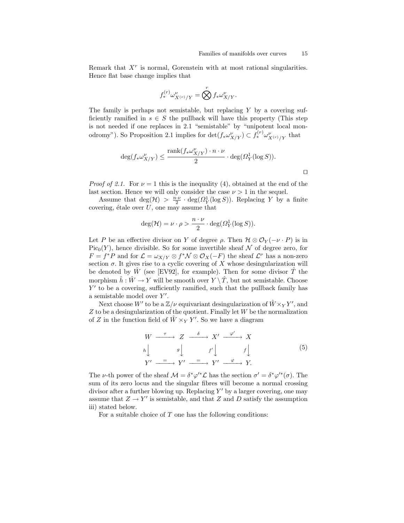$\Box$ 

Remark that  $X<sup>r</sup>$  is normal, Gorenstein with at most rational singularities. Hence flat base change implies that

$$
f_*^{(r)}\omega^{\nu}_{X^{(r)}/Y} = \bigotimes^r f_*\omega^{\nu}_{X/Y}.
$$

The family is perhaps not semistable, but replacing  $Y$  by a covering sufficiently ramified in  $s \in S$  the pullback will have this property (This step is not needed if one replaces in 2.1 "semistable" by "unipotent local monodromy"). So Proposition 2.1 implies for  $\det(f_*\omega_{X/Y}^{\nu}) \subset f_*^{(r)}\omega_{X^{(r)}/Y}^{\nu}$  that

$$
\deg(f_*\omega^{\nu}_{X/Y}) \leq \frac{\operatorname{rank}(f_*\omega^{\nu}_{X/Y})\cdot n\cdot \nu}{2}\cdot \deg(\Omega^1_Y(\log S)).
$$

*Proof of 2.1.* For  $\nu = 1$  this is the inequality (4), obtained at the end of the last section. Hence we will only consider the case  $\nu > 1$  in the sequel.

Assume that  $\deg(\mathcal{H}) > \frac{n \cdot \nu}{2} \cdot \deg(\Omega_Y^1(\log S))$ . Replacing Y by a finite covering, étale over  $U$ , one may assume that

$$
\deg(\mathcal{H}) = \nu \cdot \rho > \frac{n \cdot \nu}{2} \cdot \deg(\varOmega^1_Y(\log S)).
$$

Let P be an effective divisor on Y of degree  $\rho$ . Then  $\mathcal{H} \otimes \mathcal{O}_Y(-\nu \cdot P)$  is in  $Pic_0(Y)$ , hence divisible. So for some invertible sheaf N of degree zero, for  $F = f^*P$  and for  $\mathcal{L} = \omega_{X/Y} \otimes f^*\mathcal{N} \otimes \mathcal{O}_X(-F)$  the sheaf  $\mathcal{L}^{\nu}$  has a non-zero section  $\sigma$ . It gives rise to a cyclic covering of X whose desingularization will be denoted by  $\tilde{W}$  (see [EV92], for example). Then for some divisor  $\tilde{T}$  the morphism  $\hat{h}: \hat{W} \to Y$  will be smooth over  $Y \setminus \hat{T}$ , but not semistable. Choose  $Y'$  to be a covering, sufficiently ramified, such that the pullback family has a semistable model over  $Y'$ .

Next choose  $W'$  to be a  $\mathbb{Z}/\nu$  equivariant desingularization of  $\hat{W} \times_Y Y'$ , and  $Z$  to be a desingularization of the quotient. Finally let  $W$  be the normalization of Z in the function field of  $\hat{W} \times_Y Y'$ . So we have a diagram

$$
W \xrightarrow{\tau} Z \xrightarrow{\delta} X' \xrightarrow{\varphi'} X
$$
\n
$$
h \downarrow g \downarrow f' \downarrow f \downarrow
$$
\n
$$
Y' \xrightarrow{\tau} Y' \xrightarrow{\tau} Y' \xrightarrow{\varphi} Y'.
$$
\n
$$
(5)
$$

The *ν*-th power of the sheaf  $\mathcal{M} = \delta^* \varphi'^* \mathcal{L}$  has the section  $\sigma' = \delta^* \varphi'^*(\sigma)$ . The sum of its zero locus and the singular fibres will become a normal crossing divisor after a further blowing up. Replacing  $Y'$  by a larger covering, one may assume that  $Z \to Y'$  is semistable, and that Z and D satisfy the assumption iii) stated below.

For a suitable choice of  $T$  one has the following conditions: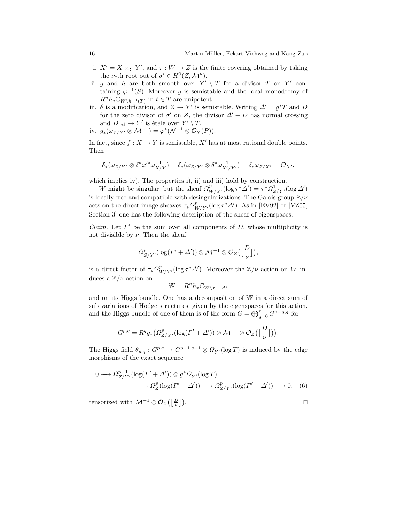- i.  $X' = X \times_Y Y'$ , and  $\tau : W \to Z$  is the finite covering obtained by taking the *v*-th root out of  $\sigma' \in H^0(Z, \mathcal{M}^{\nu})$ .
- ii. g and h are both smooth over  $Y' \setminus T$  for a divisor T on Y' containing  $\varphi^{-1}(S)$ . Moreover g is semistable and the local monodromy of  $R^n h_* \mathbb{C}_{W \setminus h^{-1}(T)}$  in  $t \in T$  are unipotent.
- iii.  $\delta$  is a modification, and  $Z \to Y'$  is semistable. Writing  $\Delta' = g^*T$  and D for the zero divisor of  $\sigma'$  on Z, the divisor  $\Delta' + D$  has normal crossing and  $D_{\text{red}} \to Y'$  is étale over  $Y' \setminus T$ .
- iv.  $g_*(\omega_{Z/Y'} \otimes \mathcal{M}^{-1}) = \varphi^*(\mathcal{N}^{-1} \otimes \mathcal{O}_Y(P)),$

In fact, since  $f: X \to Y$  is semistable, X' has at most rational double points. Then

$$
\delta_*(\omega_{Z/Y'}\otimes \delta^*\varphi'^*\omega_{X/Y}^{-1})=\delta_*(\omega_{Z/Y'}\otimes \delta^*\omega_{X'/Y'}^{-1})=\delta_*\omega_{Z/X'}=\mathcal{O}_{X'},
$$

which implies iv). The properties i), ii) and iii) hold by construction.

W might be singular, but the sheaf  $\Omega^p_{W/Y}$ ,  $(\log \tau^* \Delta') = \tau^* \Omega^1_{Z/Y}$ ,  $(\log \Delta')$ is locally free and compatible with desingularizations. The Galois group  $\mathbb{Z}/\nu$ acts on the direct image sheaves  $\tau_* \Omega^p_{W/Y}$  (log  $\tau^* \Delta'$ ). As in [EV92] or [VZ05, Section 3 one has the following description of the sheaf of eigenspaces.

*Claim.* Let  $\Gamma'$  be the sum over all components of  $D$ , whose multiplicity is not divisible by  $\nu$ . Then the sheaf

$$
\Omega^p_{Z/Y'}(\log(\Gamma'+\Delta'))\otimes {\cal M}^{-1}\otimes {\cal{O}}_Z\big(\big[\frac{D}{\nu}\big]\big),
$$

is a direct factor of  $\tau_* \Omega^p_{W/Y}$ , (log  $\tau^* \Delta'$ ). Moreover the  $\mathbb{Z}/\nu$  action on W induces a  $\mathbb{Z}/\nu$  action on

$$
\mathbb{W} = R^n h_* \mathbb{C}_{W \setminus \tau^{-1} \Delta'}
$$

and on its Higgs bundle. One has a decomposition of W in a direct sum of sub variations of Hodge structures, given by the eigenspaces for this action, and the Higgs bundle of one of them is of the form  $G = \bigoplus_{q=0}^{n} G^{n-q,q}$  for

$$
G^{p,q}=R^qg_*\big(\Omega^p_{Z/Y'}(\log(\varGamma'+\varDelta'))\otimes \mathcal{M}^{-1}\otimes \mathcal{O}_Z\big(\big[\frac{D}{\nu}\big]\big)\big).
$$

The Higgs field  $\theta_{p,q}: G^{p,q} \to G^{p-1,q+1} \otimes \Omega^1_{Y'}(\log T)$  is induced by the edge morphisms of the exact sequence

$$
0 \longrightarrow \Omega_{Z/Y'}^{p-1}(\log(\Gamma' + \Delta')) \otimes g^* \Omega_{Y'}^1(\log T)
$$
  

$$
\longrightarrow \Omega_Z^p(\log(\Gamma' + \Delta')) \longrightarrow \Omega_{Z/Y'}^p(\log(\Gamma' + \Delta')) \longrightarrow 0, \quad (6)
$$

tensorized with  $\mathcal{M}^{-1} \otimes \mathcal{O}_Z\left(\left[\frac{D}{\nu}\right]\right)$  $\Box$ ).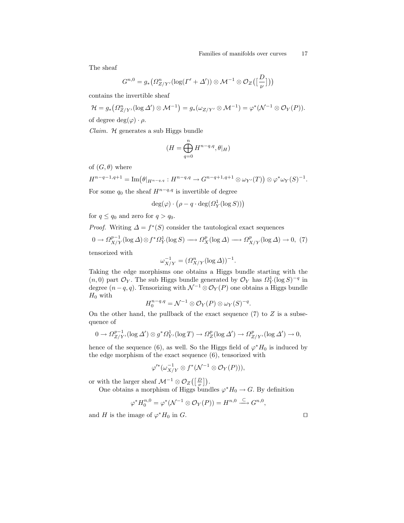The sheaf

$$
G^{n,0}=g_*\big(\varOmega^n_{Z/Y'}(\log(\varGamma'+\varDelta'))\otimes \mathcal{M}^{-1}\otimes \mathcal{O}_Z\big(\big[\frac{D}{\nu}\big]\big)\big)
$$

contains the invertible sheaf

 $\epsilon$ 

$$
\mathcal{H} = g_* \big( \Omega^n_{Z/Y'} (\log \Delta') \otimes \mathcal{M}^{-1} \big) = g_* (\omega_{Z/Y'} \otimes \mathcal{M}^{-1}) = \varphi^* (\mathcal{N}^{-1} \otimes \mathcal{O}_Y(P)).
$$

of degree  $deg(\varphi) \cdot \rho$ .

 $Claim.$   $H$  generates a sub Higgs bundle

$$
(H=\bigoplus_{q=0}^n H^{n-q,q}, \theta|_H)
$$

of  $(G, \theta)$  where

$$
H^{n-q-1,q+1}=\operatorname{Im}\bigl(\theta|_{H^{n-q,q}}:H^{n-q,q}\to G^{n-q+1,q+1}\otimes \omega_{Y'}(T)\bigr)\otimes \varphi^*\omega_Y(S)^{-1}.
$$

For some  $q_0$  the sheaf  $H^{n-q,q}$  is invertible of degree

$$
\deg(\varphi) \cdot \left(\rho - q \cdot \deg(\Omega^1_Y(\log S))\right)
$$

for  $q \leq q_0$  and zero for  $q > q_0$ .

*Proof.* Writing  $\Delta = f^*(S)$  consider the tautological exact sequences

$$
0 \to \Omega_{X/Y}^{p-1}(\log \Delta) \otimes f^* \Omega_Y^1(\log S) \longrightarrow \Omega_X^p(\log \Delta) \longrightarrow \Omega_{X/Y}^p(\log \Delta) \to 0, (7)
$$

tensorized with

$$
\omega_{X/Y}^{-1} = (\Omega_{X/Y}^n (\log \Delta))^{-1}.
$$

Taking the edge morphisms one obtains a Higgs bundle starting with the  $(n,0)$  part  $\mathcal{O}_Y$ . The sub Higgs bundle generated by  $\mathcal{O}_Y$  has  $\Omega_Y^1(\log S)^{-q}$  in degree  $(n-q, q)$ . Tensorizing with  $\mathcal{N}^{-1}\otimes \mathcal{O}_Y(P)$  one obtains a Higgs bundle  $H_0$  with

$$
H_0^{n-q,q} = \mathcal{N}^{-1} \otimes \mathcal{O}_Y(P) \otimes \omega_Y(S)^{-q}.
$$

On the other hand, the pullback of the exact sequence  $(7)$  to  $Z$  is a subsequence of

$$
0 \to \Omega_{Z/Y'}^{p-1}(\log \Delta') \otimes g^* \Omega_{Y'}^1(\log T) \to \Omega_Z^p(\log \Delta') \to \Omega_{Z/Y'}^p(\log \Delta') \to 0,
$$

hence of the sequence (6), as well. So the Higgs field of  $\varphi^* H_0$  is induced by the edge morphism of the exact sequence (6), tensorized with

$$
\varphi'^*(\omega_{X/Y}^{-1}\otimes f^*(\mathcal{N}^{-1}\otimes \mathcal{O}_Y(P))),
$$

or with the larger sheaf  $\mathcal{M}^{-1} \otimes \mathcal{O}_Z\left(\left[\frac{D}{\nu}\right]\right)$ .

One obtains a morphism of Higgs bundles  $\varphi^* H_0 \to G$ . By definition

$$
\varphi^* H_0^{n,0} = \varphi^* (\mathcal{N}^{-1} \otimes \mathcal{O}_Y(P)) = H^{n,0} \stackrel{\subset}{\longrightarrow} G^{n,0},
$$

and H is the image of  $\varphi^* H_0$  in G.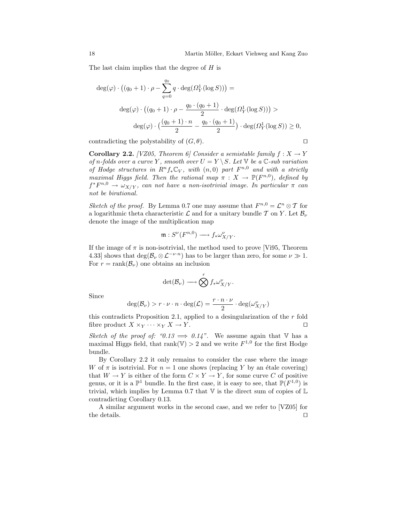The last claim implies that the degree of H is

$$
\deg(\varphi) \cdot ((q_0 + 1) \cdot \rho - \sum_{q=0}^{q_0} q \cdot \deg(\Omega_Y^1(\log S))) =
$$
  

$$
\deg(\varphi) \cdot ((q_0 + 1) \cdot \rho - \frac{q_0 \cdot (q_0 + 1)}{2} \cdot \deg(\Omega_Y^1(\log S))) >
$$
  

$$
\deg(\varphi) \cdot (\frac{(q_0 + 1) \cdot n}{2} - \frac{q_0 \cdot (q_0 + 1)}{2}) \cdot \deg(\Omega_Y^1(\log S)) \ge 0,
$$

contradicting the polystability of  $(G, \theta)$ .

**Corollary 2.2.** [VZ05, Theorem 6] Consider a semistable family  $f: X \to Y$ of n-folds over a curve Y, smooth over  $U = Y \ S$ . Let  $\mathbb {V}$  be a  $\mathbb {C}$ -sub variation of Hodge structures in  $R^n f_* \mathbb{C}_V$ , with  $(n,0)$  part  $F^{n,0}$  and with a strictly maximal Higgs field. Then the rational map  $\pi : X \to \mathbb{P}(F^{n,0})$ , defined by  $f^*F^{n,0} \to \omega_{X/Y}$ , can not have a non-isotrivial image. In particular  $\pi$  can not be birational.

Sketch of the proof. By Lemma 0.7 one may assume that  $F^{n,0} = \mathcal{L}^n \otimes \mathcal{T}$  for a logarithmic theta characteristic  $\mathcal L$  and for a unitary bundle  $\mathcal T$  on  $Y$ . Let  $\mathcal B_{\nu}$ denote the image of the multiplication map

$$
\mathfrak{m}: S^{\nu}(F^{n,0}) \longrightarrow f_*\omega^{\nu}_{X/Y}.
$$

If the image of  $\pi$  is non-isotrivial, the method used to prove [Vi95, Theorem 4.33] shows that  $\deg(\mathcal{B}_{\nu} \otimes \mathcal{L}^{-\nu \cdot n})$  has to be larger than zero, for some  $\nu \gg 1$ . For  $r = \text{rank}(\mathcal{B}_{\nu})$  one obtains an inclusion

$$
\det(\mathcal{B}_{\nu}) \longrightarrow \bigotimes^r f_* \omega^{\nu}_{X/Y}.
$$

Since

$$
\deg(\mathcal{B}_{\nu}) > r \cdot \nu \cdot n \cdot \deg(\mathcal{L}) = \frac{r \cdot n \cdot \nu}{2} \cdot \deg(\omega_{X/Y}^{\nu})
$$

this contradicts Proposition 2.1, applied to a desingularization of the  $r$  fold fibre product  $X \times_Y \cdots \times_Y X \to Y$ .

Sketch of the proof of: " $0.13 \implies 0.14$ ". We assume again that V has a maximal Higgs field, that rank(V) > 2 and we write  $F^{1,0}$  for the first Hodge bundle.

By Corollary 2.2 it only remains to consider the case where the image W of  $\pi$  is isotrivial. For  $n = 1$  one shows (replacing Y by an étale covering) that  $W \to Y$  is either of the form  $C \times Y \to Y$ , for some curve C of positive genus, or it is a  $\mathbb{P}^1$  bundle. In the first case, it is easy to see, that  $\mathbb{P}(F^{1,0})$  is trivial, which implies by Lemma 0.7 that  $V$  is the direct sum of copies of  $\mathbb L$ contradicting Corollary 0.13.

A similar argument works in the second case, and we refer to [VZ05] for the details.  $\Box$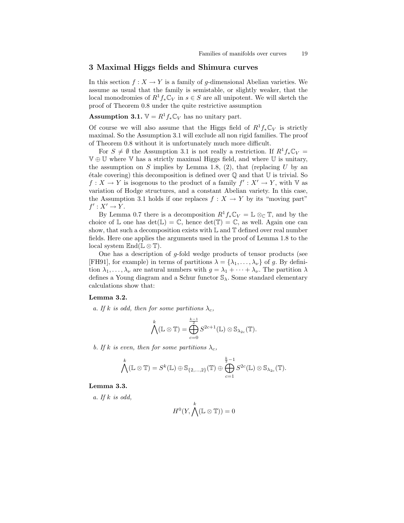#### 3 Maximal Higgs fields and Shimura curves

In this section  $f: X \to Y$  is a family of g-dimensional Abelian varieties. We assume as usual that the family is semistable, or slightly weaker, that the local monodromies of  $R^1f_*\mathbb{C}_V$  in  $s \in S$  are all unipotent. We will sketch the proof of Theorem 0.8 under the quite restrictive assumption

**Assumption 3.1.**  $V = R^1 f_* \mathbb{C}_V$  has no unitary part.

Of course we will also assume that the Higgs field of  $R^1f_*\mathbb{C}_V$  is strictly maximal. So the Assumption 3.1 will exclude all non rigid families. The proof of Theorem 0.8 without it is unfortunately much more difficult.

For  $S \neq \emptyset$  the Assumption 3.1 is not really a restriction. If  $R^1f_*\mathbb{C}_V =$ V ⊕ U where V has a strictly maximal Higgs field, and where U is unitary, the assumption on S implies by Lemma 1.8, (2), that (replacing  $U$  by an  $\acute{e}$ tale covering) this decomposition is defined over  $\mathbb Q$  and that U is trivial. So  $f: X \to Y$  is isogenous to the product of a family  $f': X' \to Y$ , with V as variation of Hodge structures, and a constant Abelian variety. In this case, the Assumption 3.1 holds if one replaces  $f : X \to Y$  by its "moving part"  $f': X' \to Y$ .

By Lemma 0.7 there is a decomposition  $R^1f_*\mathbb{C}_V = \mathbb{L} \otimes_{\mathbb{C}} \mathbb{T}$ , and by the choice of L one has  $det(\mathbb{L}) = \mathbb{C}$ , hence  $det(\mathbb{T}) = \mathbb{C}$ , as well. Again one can show, that such a decomposition exists with  $\mathbb L$  and  $\mathbb T$  defined over real number fields. Here one applies the arguments used in the proof of Lemma 1.8 to the local system  $\mathbb{E}nd(\mathbb{L} \otimes \mathbb{T}).$ 

One has a description of  $g$ -fold wedge products of tensor products (see [FH91], for example) in terms of partitions  $\lambda = {\lambda_1, \ldots, \lambda_{\nu}}$  of g. By definition  $\lambda_1, \ldots, \lambda_\nu$  are natural numbers with  $g = \lambda_1 + \cdots + \lambda_\nu$ . The partition  $\lambda$ defines a Young diagram and a Schur functor  $\mathcal{S}_{\lambda}$ . Some standard elementary calculations show that:

## Lemma 3.2.

a. If k is odd, then for some partitions  $\lambda_c$ ,

$$
\bigwedge^k(\mathbb{L} \otimes \mathbb{T}) = \bigoplus_{c=0}^{\frac{k-1}{2}} S^{2c+1}(\mathbb{L}) \otimes \mathbb{S}_{\lambda_{2c}}(\mathbb{T}).
$$

b. If k is even, then for some partitions  $\lambda_c$ ,

$$
\bigwedge^k(\mathbb{L} \otimes \mathbb{T}) = S^k(\mathbb{L}) \oplus \mathbb{S}_{\{2,\ldots,2\}}(\mathbb{T}) \oplus \bigoplus_{c=1}^{\frac{k}{2}-1} S^{2c}(\mathbb{L}) \otimes \mathbb{S}_{\lambda_{2c}}(\mathbb{T}).
$$

## Lemma 3.3.

a. If  $k$  is odd,

$$
H^0(Y,\bigwedge^k(\mathbb{L}\otimes \mathbb{T}))=0
$$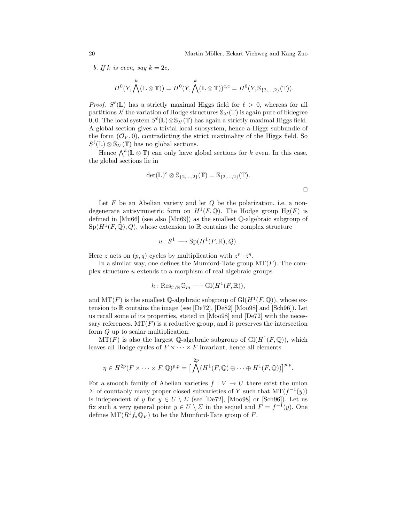b. If k is even, say  $k = 2c$ ,

$$
H^0(Y, \bigwedge^k(\mathbb{L} \otimes \mathbb{T})) = H^0(Y, \bigwedge^k(\mathbb{L} \otimes \mathbb{T}))^{c,c} = H^0(Y, \mathbb{S}_{\{2, \ldots, 2\}}(\mathbb{T})).
$$

*Proof.*  $S^{\ell}(\mathbb{L})$  has a strictly maximal Higgs field for  $\ell > 0$ , whereas for all partitions  $\lambda'$  the variation of Hodge structures  $\mathbb{S}_{\lambda'}(\mathbb{T})$  is again pure of bidegree 0, 0. The local system  $S^{\ell}(\mathbb{L})\otimes \mathbb{S}_{\lambda'}(\mathbb{T})$  has again a strictly maximal Higgs field. A global section gives a trivial local subsystem, hence a Higgs subbundle of the form  $(\mathcal{O}_Y, 0)$ , contradicting the strict maximality of the Higgs field. So  $S^{\ell}(\mathbb{L}) \otimes \mathbb{S}_{\lambda}(\mathbb{T})$  has no global sections.

Hence  $\bigwedge^k (\mathbb{L} \otimes \mathbb{T})$  can only have global sections for k even. In this case, the global sections lie in

$$
\det(\mathbb{L})^c\otimes \mathbb{S}_{\{2,\ldots,2\}}(\mathbb{T})=\mathbb{S}_{\{2,\ldots,2\}}(\mathbb{T}).
$$

Let  $F$  be an Abelian variety and let  $Q$  be the polarization, i.e. a nondegenerate antisymmetric form on  $H^1(F, \mathbb{Q})$ . The Hodge group  $Hg(F)$  is defined in [Mu66] (see also [Mu69]) as the smallest Q-algebraic subgroup of  $Sp(H^1(F,\mathbb{Q}),Q)$ , whose extension to R contains the complex structure

$$
u: S^1 \longrightarrow Sp(H^1(F, \mathbb{R}), Q).
$$

Here z acts on  $(p, q)$  cycles by multiplication with  $z^p \cdot \bar{z}^q$ .

In a similar way, one defines the Mumford-Tate group  $MT(F)$ . The complex structure u extends to a morphism of real algebraic groups

$$
h: \mathrm{Res}_{\mathbb{C}/\mathbb{R}}\mathbb{G}_m \longrightarrow \mathrm{Gl}(H^1(F,\mathbb{R})),
$$

and  $MT(F)$  is the smallest Q-algebraic subgroup of  $Gl(H^1(F, \mathbb{Q}))$ , whose extension to R contains the image (see [De72], [De82] [Moo98] and [Sch96]). Let us recall some of its properties, stated in [Moo98] and [De72] with the necessary references.  $MT(F)$  is a reductive group, and it preserves the intersection form Q up to scalar multiplication.

 $MT(F)$  is also the largest Q-algebraic subgroup of  $Gl(H^1(F, \mathbb{Q}))$ , which leaves all Hodge cycles of  $F \times \cdots \times F$  invariant, hence all elements

$$
\eta \in H^{2p}(F \times \cdots \times F, \mathbb{Q})^{p,p} = \Big[\bigwedge^{2p}(H^1(F, \mathbb{Q}) \oplus \cdots \oplus H^1(F, \mathbb{Q}))\Big]^{p,p}.
$$

For a smooth family of Abelian varieties  $f: V \to U$  there exist the union  $\Sigma$  of countably many proper closed subvarieties of Y such that  $MT(f^{-1}(y))$ is independent of y for  $y \in U \setminus \Sigma$  (see [De72], [Moo98] or [Sch96]). Let us fix such a very general point  $y \in U \setminus \Sigma$  in the sequel and  $F = f^{-1}(y)$ . One defines  $MT(R<sup>1</sup>f_*\mathbb{Q}_V)$  to be the Mumford-Tate group of F.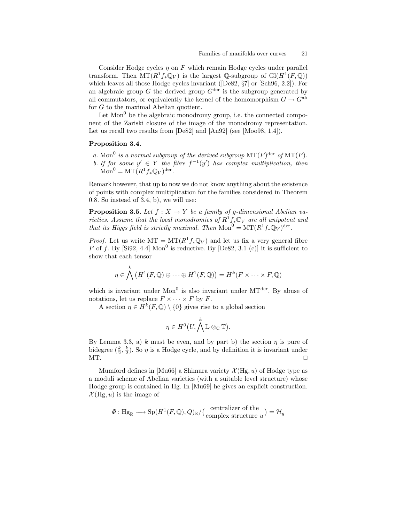Consider Hodge cycles  $\eta$  on F which remain Hodge cycles under parallel transform. Then  $MT(R^1f_*\mathbb{Q}_V)$  is the largest Q-subgroup of  $Gl(H^1(F, \mathbb{Q}))$ which leaves all those Hodge cycles invariant ( $[De82, §7]$  or  $[Sch96, 2.2]$ ). For an algebraic group G the derived group  $G^{\text{der}}$  is the subgroup generated by all commutators, or equivalently the kernel of the homomorphism  $G \to G^{ab}$ for G to the maximal Abelian quotient.

Let  $Mon<sup>0</sup>$  be the algebraic monodromy group, i.e. the connected component of the Zariski closure of the image of the monodromy representation. Let us recall two results from [De82] and [An92] (see [Moo98, 1.4]).

#### Proposition 3.4.

a. Mon<sup>0</sup> is a normal subgroup of the derived subgroup  $MT(F)^{\text{der }} of MT(F)$ . b. If for some  $y' \in Y$  the fibre  $f^{-1}(y')$  has complex multiplication, then  $\text{Mon}^0 = \text{MT}(R^1 f_* \mathbb{Q}_V)^{\text{der}}.$ 

Remark however, that up to now we do not know anything about the existence of points with complex multiplication for the families considered in Theorem 0.8. So instead of 3.4, b), we will use:

**Proposition 3.5.** Let  $f : X \to Y$  be a family of g-dimensional Abelian varieties. Assume that the local monodromies of  $R^1f_*\mathbb{C}_V$  are all unipotent and that its Higgs field is strictly maximal. Then  $Mon^0 = MT(R^1f_*\mathbb{Q}_V)^{der}$ .

*Proof.* Let us write  $MT = MT(R^1 f_* \mathbb{Q}_V)$  and let us fix a very general fibre F of f. By [Si92, 4.4] Mon<sup>0</sup> is reductive. By [De82, 3.1 (c)] it is sufficient to show that each tensor

$$
\eta \in \bigwedge^k \left( H^1(F, \mathbb{Q}) \oplus \cdots \oplus H^1(F, \mathbb{Q}) \right) = H^k(F \times \cdots \times F, \mathbb{Q})
$$

which is invariant under  $Mon<sup>0</sup>$  is also invariant under  $MT<sup>der</sup>$ . By abuse of notations, let us replace  $F \times \cdots \times F$  by F.

A section  $\eta \in H^k(F, \mathbb{Q}) \setminus \{0\}$  gives rise to a global section

$$
\eta \in H^0(U, \bigwedge^k \mathbb{L} \otimes_{\mathbb{C}} \mathbb{T}).
$$

By Lemma 3.3, a) k must be even, and by part b) the section  $\eta$  is pure of bidegree  $(\frac{k}{2}, \frac{k}{2})$ . So  $\eta$  is a Hodge cycle, and by definition it is invariant under  $\Box$ 

Mumford defines in [Mu66] a Shimura variety  $\mathcal{X}(Hg, u)$  of Hodge type as a moduli scheme of Abelian varieties (with a suitable level structure) whose Hodge group is contained in Hg. In [Mu69] he gives an explicit construction.  $\mathcal{X}(Hg, u)$  is the image of

$$
\Phi: \mathrm{Hg}_\mathbb{R} \longrightarrow \mathrm{Sp}(H^1(F,\mathbb{Q}),Q)_\mathbb{R}/\big(\begin{array}{c}{\rm centralizer \ of \ the} \\ {\rm complex \ structure \ } u\end{array}\big)=\mathcal{H}_g
$$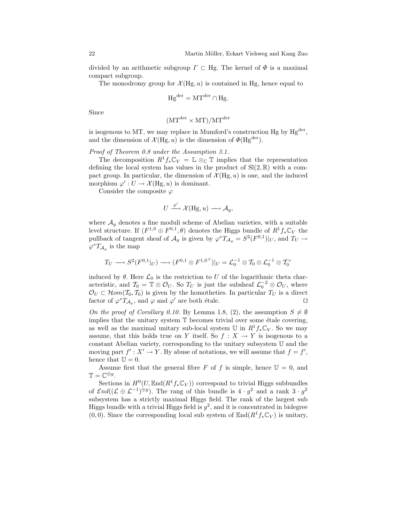divided by an arithmetic subgroup  $\Gamma \subset Hg$ . The kernel of  $\Phi$  is a maximal compact subgroup.

The monodromy group for  $\mathcal{X}(Hg, u)$  is contained in Hg, hence equal to

$$
Hg^{der} = MT^{der} \cap Hg.
$$

Since

$$
(MT^{\text{der}} \times MT)/MT^{\text{der}}
$$

is isogenous to MT, we may replace in Mumford's construction Hg by  $Hg^{der}$ , and the dimension of  $\mathcal{X}(Hg, u)$  is the dimension of  $\Phi(Hg^{\text{der}})$ .

Proof of Theorem 0.8 under the Assumption 3.1.

The decomposition  $R^1f_*\mathbb{C}_V = \mathbb{L} \otimes_{\mathbb{C}} \mathbb{T}$  implies that the representation defining the local system has values in the product of  $\text{Sl}(2,\mathbb{R})$  with a compact group. In particular, the dimension of  $\mathcal{X}(Hg, u)$  is one, and the induced morphism  $\varphi': U \to \mathcal{X}(\text{Hg}, u)$  is dominant.

Consider the composite  $\varphi$ 

$$
U \xrightarrow{\varphi'} \mathcal{X}(\text{Hg}, u) \longrightarrow \mathcal{A}_g,
$$

where  $A_q$  denotes a fine moduli scheme of Abelian varieties, with a suitable level structure. If  $(F^{1,0} \oplus F^{0,1}, \theta)$  denotes the Higgs bundle of  $R^1 f_* \mathbb{C}_V$  the pullback of tangent sheaf of  $\mathcal{A}_g$  is given by  $\varphi^*T_{\mathcal{A}_g} = S^2(F^{0,1})|_U$ , and  $T_U \to$  $\varphi^* T_{\mathcal{A}_g}$  is the map

$$
T_U\longrightarrow S^2(F^{0,1}|_U)\longrightarrow (F^{0,1}\otimes F^{1,0}\vee)|_U=\mathcal{L}_0^{-1}\otimes T_0\otimes \mathcal{L}_0^{-1}\otimes T_0\vee
$$

induced by  $\theta$ . Here  $\mathcal{L}_0$  is the restriction to U of the logarithmic theta characteristic, and  $\mathcal{T}_0 = \mathbb{T} \otimes \mathcal{O}_U$ . So  $T_U$  is just the subsheaf  $\mathcal{L}_0^{-2} \otimes \mathcal{O}_U$ , where  $\mathcal{O}_U \subset \mathcal{H}om(\mathcal{T}_0, \mathcal{T}_0)$  is given by the homotheties. In particular  $T_U$  is a direct factor of  $\varphi^* T_{\mathcal{A}_g}$ , and  $\varphi$  and  $\varphi'$  are both étale.

On the proof of Corollary 0.10. By Lemma 1.8, (2), the assumption  $S \neq \emptyset$ implies that the unitary system  $T$  becomes trivial over some étale covering, as well as the maximal unitary sub-local system  $\mathbb U$  in  $R^1f_*\mathbb C_V$ . So we may assume, that this holds true on Y itself. So  $f : X \to Y$  is isogenous to a constant Abelian variety, corresponding to the unitary subsystem U and the moving part  $f' : X' \to Y$ . By abuse of notations, we will assume that  $f = f'$ , hence that  $\mathbb{U} = 0$ .

Assume first that the general fibre F of f is simple, hence  $\mathbb{U} = 0$ , and  $\mathbb{T} = \mathbb{C}^{\oplus g}.$ 

Sections in  $H^0(U,\text{End}(R^1f_*\mathbb{C}_V))$  correspond to trivial Higgs subbundles of  $\mathcal{E}nd((\mathcal{L} \oplus \mathcal{L}^{-1})^{\oplus g})$ . The rang of this bundle is  $4 \cdot g^2$  and a rank  $3 \cdot g^2$ subsystem has a strictly maximal Higgs field. The rank of the largest sub Higgs bundle with a trivial Higgs field is  $g^2$ , and it is concentrated in bidegree  $(0, 0)$ . Since the corresponding local sub system of  $\text{End}(R^1f_*\mathbb{C}_V)$  is unitary,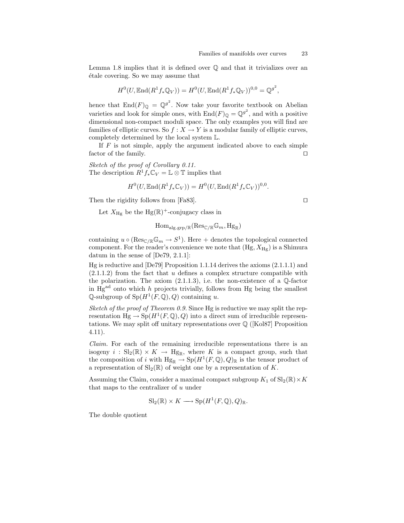Lemma 1.8 implies that it is defined over  $\mathbb Q$  and that it trivializes over an ´etale covering. So we may assume that

$$
H^{0}(U, \mathbb{E} \mathrm{nd}(R^{1} f_{*} \mathbb{Q}_{V})) = H^{0}(U, \mathbb{E} \mathrm{nd}(R^{1} f_{*} \mathbb{Q}_{V}))^{0,0} = \mathbb{Q}^{g^{2}},
$$

hence that  $\text{End}(F)_{\mathbb{Q}} = \mathbb{Q}^{g^2}$ . Now take your favorite textbook on Abelian varieties and look for simple ones, with  $\text{End}(F)_{\mathbb{Q}} = \mathbb{Q}^{g^2}$ , and with a positive dimensional non-compact moduli space. The only examples you will find are families of elliptic curves. So  $f : X \to Y$  is a modular family of elliptic curves, completely determined by the local system L.

If  $F$  is not simple, apply the argument indicated above to each simple factor of the family.  $\Box$ 

Sketch of the proof of Corollary 0.11. The description  $R^1f_*\mathbb{C}_V = \mathbb{L} \otimes \mathbb{T}$  implies that

$$
H^{0}(U,\mathbb{E}\text{nd}(R^{1}f_{*}\mathbb{C}_{V}))=H^{0}(U,\mathbb{E}\text{nd}(R^{1}f_{*}\mathbb{C}_{V}))^{0,0}.
$$

Then the rigidity follows from [Fa83].  $\square$ 

Let  $X_{\text{Hg}}$  be the Hg( $\mathbb{R}$ )<sup>+</sup>-conjugacy class in

$$
\mathrm{Hom}_{\mathrm{alg}.\mathrm{grp}/\mathbb{R}}(\mathrm{Res}_{\mathbb{C}/\mathbb{R}}\mathbb{G}_m,\mathrm{Hg}_{\mathbb{R}})
$$

containing  $u \circ (\text{Res}_{\mathbb{C}/\mathbb{R}}\mathbb{G}_m \to S^1)$ . Here + denotes the topological connected component. For the reader's convenience we note that  $(Hg, X_{Hg})$  is a Shimura datum in the sense of [De79, 2.1.1]:

Hg is reductive and [De79] Proposition 1.1.14 derives the axioms (2.1.1.1) and  $(2.1.1.2)$  from the fact that u defines a complex structure compatible with the polarization. The axiom  $(2.1.1.3)$ , i.e. the non-existence of a  $\mathbb{Q}$ -factor in  $Hg^{ad}$  onto which h projects trivially, follows from Hg being the smallest Q-subgroup of  $Sp(H^1(F, \mathbb{Q}), Q)$  containing u.

Sketch of the proof of Theorem 0.9. Since Hg is reductive we may split the representation  $Hg \to Sp(H^1(F, \mathbb{Q}), Q)$  into a direct sum of irreducible representations. We may split off unitary representations over  $\mathbb{Q}$  ([Kol87] Proposition 4.11).

Claim. For each of the remaining irreducible representations there is an isogeny  $i : Sl_2(\mathbb{R}) \times K \to Hg_{\mathbb{R}}$ , where K is a compact group, such that the composition of i with  $Hg_{\mathbb{R}} \to Sp(H^1(F, \mathbb{Q}), Q)_{\mathbb{R}}$  is the tensor product of a representation of  $\text{Sl}_2(\mathbb{R})$  of weight one by a representation of K.

Assuming the Claim, consider a maximal compact subgroup  $K_1$  of  $\text{Sl}_2(\mathbb{R}) \times K$ that maps to the centralizer of  $u$  under

$$
Sl_2(\mathbb{R}) \times K \longrightarrow Sp(H^1(F, \mathbb{Q}), Q)_{\mathbb{R}}.
$$

The double quotient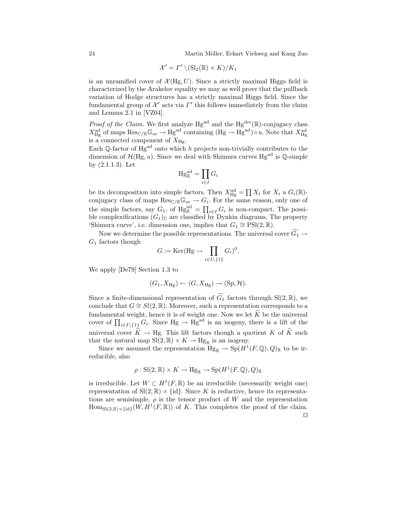24 Martin Möller, Eckart Viehweg and Kang Zuo

$$
\mathcal{X}' = \varGamma' \setminus (\operatorname{Sl}_2(\mathbb{R}) \times \varGamma)/K_1
$$

is an unramified cover of  $\mathcal{X}(Hg, U)$ . Since a strictly maximal Higgs field is characterized by the Arakelov equality we may as well prove that the pullback variation of Hodge structures has a strictly maximal Higgs field. Since the fundamental group of  $\mathcal{X}'$  acts via  $\Gamma'$  this follows immediately from the claim and Lemma 2.1 in [VZ04].

*Proof of the Claim.* We first analyze  $Hg^{ad}$  and the  $Hg^{der}(\mathbb{R})$ -conjugacy class  $X_{\text{Hg}}^{\text{ad}}$  of maps  $\text{Res}_{\mathbb{C}/\mathbb{R}}\mathbb{G}_m \to \text{Hg}^{\text{ad}}$  containing  $(\text{Hg} \to \text{Hg}^{\text{ad}}) \circ u$ . Note that  $X_{\text{Hg}}^{\text{ad}}$ is a connected component of  $X_{\text{Hg}}$ .

Each Q-factor of  $Hg^{ad}$  onto which h projects non-trivially contributes to the dimension of  $\mathcal{H}(Hg, u)$ . Since we deal with Shimura curves  $Hg^{ad}$  is  $\mathbb{Q}\text{-simple}$ by (2.1.1.3). Let

$$
\mathrm{Hg}_{\mathbb{R}}^{\mathrm{ad}}=\prod_{i\in I}G_i
$$

be its decomposition into simple factors. Then  $X_{\text{Hg}}^{\text{ad}} = \prod X_i$  for  $X_i$  a  $G_i(\mathbb{R})$ conjugacy class of maps  $\text{Res}_{\mathbb{C}/\mathbb{R}}\mathbb{G}_m \to G_i$ . For the same reason, only one of the simple factors, say  $G_1$ , of  $Hg_{\mathbb{R}}^{\text{ad}} = \prod_{i \in I} G_i$  is non-compact. The possible complexifications  $(G_1)_{\mathbb{C}}$  are classified by Dynkin diagrams. The property 'Shimura curve', i.e. dimension one, implies that  $G_1 \cong \text{PSI}(2,\mathbb{R})$ .

Now we determine the possible representations. The universal cover  $\widetilde{G_1} \rightarrow$  $G_1$  factors though

$$
G:=\mathrm{Ker}(\mathrm{Hg}\to\prod_{i\in I\backslash\{1\}}G_i)^0.
$$

We apply [De79] Section 1.3 to

$$
(G_1, X_{\text{Hg}}) \leftarrow (G, X_{\text{Hg}}) \rightarrow (\text{Sp}, \mathcal{H}).
$$

Since a finite-dimensional representation of  $\widetilde{G}_1$  factors through Sl(2, R), we conclude that  $G \cong Sl(2,\mathbb{R})$ . Moreover, such a representation corresponds to a fundamental weight, hence it is of weight one. Now we let  $K$  be the universal cover of  $\prod_{i\in I\setminus\{1\}} G_i$ . Since  $Hg \to Hg^{ad}$  is an isogeny, there is a lift of the universal cover  $\widetilde{K} \to Hg$ . This lift factors though a quotient K of  $\widetilde{K}$  such that the natural map  $\text{Sl}(2,\mathbb{R}) \times K \to \text{Hg}_{\mathbb{R}}$  is an isogeny.

Since we assumed the representation  $Hg_{\mathbb{R}} \to Sp(H^1(F,\mathbb{Q}),Q)_{\mathbb{R}}$  to be irreducible, also

$$
\rho: Sl(2,\mathbb{R}) \times K \to \text{Hg}_{\mathbb{R}} \to \text{Sp}(H^1(F,\mathbb{Q}),Q)_{\mathbb{R}}
$$

is irreducible. Let  $W \subset H^1(F, \mathbb{R})$  be an irreducible (necessarily weight one) representation of  $SI(2,\mathbb{R})\times\{id\}$ . Since K is reductive, hence its representations are semisimple,  $\rho$  is the tensor product of W and the representation  $\text{Hom}_{\text{Sl}(2,\mathbb{R})\times\{\text{id}\}}(W, H^1(F,\mathbb{R}))$  of K. This completes the proof of the claim.  $\Box$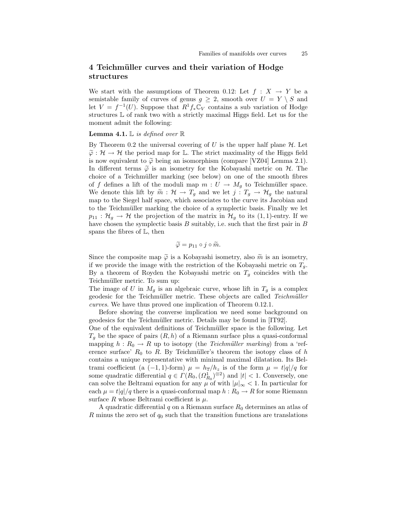# 4 Teichmüller curves and their variation of Hodge structures

We start with the assumptions of Theorem 0.12: Let  $f : X \rightarrow Y$  be a semistable family of curves of genus  $q \geq 2$ , smooth over  $U = Y \setminus S$  and let  $V = f^{-1}(U)$ . Suppose that  $R^1 f_* \mathbb{C}_V$  contains a sub variation of Hodge structures L of rank two with a strictly maximal Higgs field. Let us for the moment admit the following:

#### **Lemma 4.1.**  $\mathbb{L}$  is defined over  $\mathbb{R}$

By Theorem 0.2 the universal covering of U is the upper half plane  $H$ . Let  $\tilde{\varphi}: \mathcal{H} \to \mathcal{H}$  the period map for L. The strict maximality of the Higgs field is now equivalent to  $\tilde{\varphi}$  being an isomorphism (compare [VZ04] Lemma 2.1). In different terms  $\tilde{\varphi}$  is an isometry for the Kobayashi metric on  $\mathcal{H}$ . The choice of a Teichmüller marking (see below) on one of the smooth fibres of f defines a lift of the moduli map  $m: U \to M_g$  to Teichmüller space. We denote this lift by  $\widetilde{m}: \mathcal{H} \to T_g$  and we let  $j: T_g \to \mathcal{H}_g$  the natural map to the Siegel half space, which associates to the curve its Jacobian and to the Teichmüller marking the choice of a symplectic basis. Finally we let  $p_{11} : \mathcal{H}_g \to \mathcal{H}$  the projection of the matrix in  $\mathcal{H}_g$  to its (1, 1)-entry. If we have chosen the symplectic basis  $B$  suitably, i.e. such that the first pair in  $B$ spans the fibres of L, then

$$
\widetilde{\varphi} = p_{11} \circ j \circ \widetilde{m}.
$$

Since the composite map  $\tilde{\varphi}$  is a Kobayashi isometry, also  $\tilde{m}$  is an isometry, if we provide the image with the restriction of the Kobayashi metric on  $T_q$ . By a theorem of Royden the Kobayashi metric on  $T_q$  coincides with the Teichmüller metric. To sum up:

The image of U in  $M_q$  is an algebraic curve, whose lift in  $T_q$  is a complex geodesic for the Teichmüller metric. These objects are called Teichmüller curves. We have thus proved one implication of Theorem 0.12.1.

Before showing the converse implication we need some background on geodesics for the Teichmüller metric. Details may be found in [IT92].

One of the equivalent definitions of Teichmüller space is the following. Let  $T<sub>g</sub>$  be the space of pairs  $(R, h)$  of a Riemann surface plus a quasi-conformal mapping  $h: R_0 \to R$  up to isotopy (the *Teichmüller marking*) from a 'reference surface'  $R_0$  to R. By Teichmüller's theorem the isotopy class of h contains a unique representative with minimal maximal dilatation. Its Beltrami coefficient (a (-1, 1)-form)  $\mu = h_{\overline{z}}/h_z$  is of the form  $\mu = t|q|/q$  for some quadratic differential  $q \in \Gamma(R_0, \Omega_{R_0}^1)^{\otimes 2}$  and  $|t| < 1$ . Conversely, one can solve the Beltrami equation for any  $\mu$  of with  $|\mu|_{\infty} < 1$ . In particular for each  $\mu = t|q|/q$  there is a quasi-conformal map  $h : R_0 \to R$  for some Riemann surface R whose Beltrami coefficient is  $\mu$ .

A quadratic differential q on a Riemann surface  $R_0$  determines an atlas of  $R$  minus the zero set of  $q_0$  such that the transition functions are translations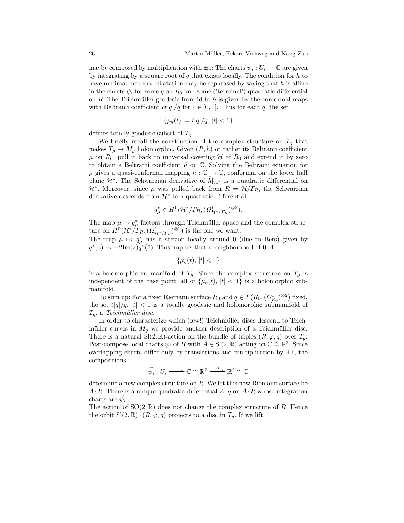maybe composed by multiplication with  $\pm 1$ : The charts  $\psi_i : U_i \to \mathbb{C}$  are given by integrating by a square root of  $q$  that exists locally. The condition for  $h$  to have minimal maximal dilatation may be rephrased by saying that  $h$  is affine in the charts  $\psi_i$  for some q on  $R_0$  and some ('terminal') quadratic differential on  $R$ . The Teichmüller geodesic from id to  $h$  is given by the conformal maps with Beltrami coefficient  $ct|q|/q$  for  $c \in [0,1]$ . Thus for each q, the set

$$
\{\mu_q(t) := t|q|/q, \, |t| < 1\}
$$

defines totally geodesic subset of  $T_g$ .

We briefly recall the construction of the complex structure on  $T_g$  that makes  $T_q \to M_q$  holomorphic. Given  $(R, h)$  or rather its Beltrami coefficient  $\mu$  on  $R_0$ , pull it back to universal covering  $\mathcal H$  of  $R_0$  and extend it by zero to obtain a Beltrami coefficient  $\tilde{\mu}$  on  $\mathbb{C}$ . Solving the Beltrami equation for  $\mu$  gives a quasi-conformal mapping  $\tilde{h} : \mathbb{C} \to \mathbb{C}$ , conformal on the lower half plane  $\mathcal{H}^*$ . The Schwarzian derivative of  $\tilde{h}|_{\mathcal{H}^*}$  is a quadratic differential on  $\mathcal{H}^*$ . Moreover, since  $\mu$  was pulled back from  $R = \mathcal{H}/\Gamma_R$ , the Schwarzian derivative descends from  $\mathcal{H}^*$  to a quadratic differential

$$
q^*_{\mu} \in H^0(\mathcal{H}^*/\Gamma_R, (\Omega^1_{\mathcal{H}^*/\Gamma_R})^{\otimes 2}).
$$

The map  $\mu \mapsto q^*_{\mu}$  factors through Teichmüller space and the complex structure on  $H^0(\mathcal{H}^*/T_R,(\Omega^1_{\mathcal{H}^*/T_R})^{\otimes 2})$  is the one we want.

The map  $\mu \mapsto q^*_{\mu}$  has a section locally around 0 (due to Bers) given by  $q^*(z) \mapsto -2\mathrm{Im}(z)q^*(\bar{z})$ . This implies that a neighborhood of 0 of

$$
\{\mu_q(t),\,|t|<1\}
$$

is a holomorphic submanifold of  $T_g$ . Since the complex structure on  $T_g$  is independent of the base point, all of  $\{\mu_q(t), |t| < 1\}$  is a holomorphic submanifold.

To sum up: For a fixed Riemann surface  $R_0$  and  $q \in \Gamma(R_0, \Omega_{R_0}^1)^{\otimes 2}$ ) fixed, the set  $t|q|/q$ ,  $|t| < 1$  is a totally geodesic and holomorphic submanifold of  $T_q$ , a Teichmüller disc.

In order to characterize which (few!) Teichmüller discs descend to Teichmüller curves in  $M_q$  we provide another description of a Teichmüller disc. There is a natural  $\text{Sl}(2,\mathbb{R})$ -action on the bundle of triples  $(R,\varphi,q)$  over  $T_q$ . Post-compose local charts  $\psi_i$  of R with  $A \in \mathrm{Sl}(2, \mathbb{R})$  acting on  $\mathbb{C} \cong \mathbb{R}^2$ . Since overlapping charts differ only by translations and multiplication by  $\pm 1$ , the compositions

$$
\widetilde{\psi}_i: U_i \longrightarrow \mathbb{C} \cong \mathbb{R}^2 \xrightarrow{A} \mathbb{R}^2 \cong \mathbb{C}
$$

determine a new complex structure on R. We let this new Riemann surface be  $A \cdot R$ . There is a unique quadratic differential  $A \cdot q$  on  $A \cdot R$  whose integration charts are  $\psi_i$ .

The action of  $SO(2,\mathbb{R})$  does not change the complex structure of R. Hence the orbit  $\text{SI}(2,\mathbb{R}) \cdot (R,\varphi,q)$  projects to a disc in  $T_g$ . If we lift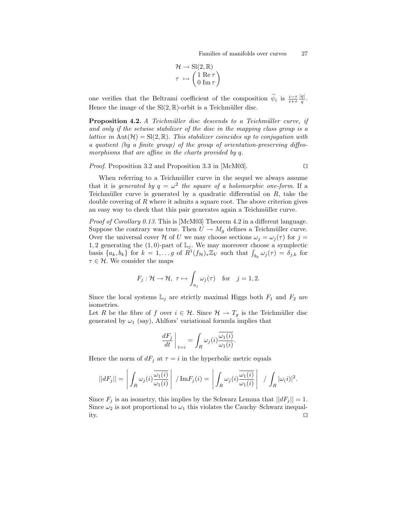$$
\mathcal{H} \to \mathrm{Sl}(2,\mathbb{R})
$$

$$
\tau \mapsto \begin{pmatrix} 1 & \mathrm{Re}\,\tau \\ 0 & \mathrm{Im}\,\tau \end{pmatrix}
$$

one verifies that the Beltrami coefficient of the composition  $\widetilde{\psi}_i$  is  $\frac{i-\tau}{i+\tau}$  $|q|$  $\frac{q_{\parallel}}{q}$  . Hence the image of the  $\text{Sl}(2,\mathbb{R})$ -orbit is a Teichmüller disc.

**Proposition 4.2.** A Teichmüller disc descends to a Teichmüller curve, if and only if the setwise stabilizer of the disc in the mapping class group is a lattice in  $\text{Aut}(\mathcal{H}) = \text{SI}(2,\mathbb{R})$ . This stabilizer coincides up to conjugation with a quotient (by a finite group) of the group of orientation-preserving diffeomorphisms that are affine in the charts provided by q.

*Proof.* Proposition 3.2 and Proposition 3.3 in [McM03].  $\Box$ 

When referring to a Teichmüller curve in the sequel we always assume that it is generated by  $q = \omega^2$  the square of a holomorphic one-form. If a Teichmüller curve is generated by a quadratic differential on  $R$ , take the double covering of  $R$  where it admits a square root. The above criterion gives an easy way to check that this pair generates again a Teichmüller curve.

Proof of Corollary 0.13. This is [McM03] Theorem 4.2 in a different language. Suppose the contrary was true. Then  $U \to M_q$  defines a Teichmüller curve. Over the universal cover H of U we may choose sections  $\omega_j = \omega_j(\tau)$  for  $j =$ 1, 2 generating the  $(1, 0)$ -part of  $\mathbb{L}_j$ . We may moreover choose a symplectic basis  $\{a_k, b_k\}$  for  $k = 1, \ldots g$  of  $R^1(f_{\mathcal{H}})_* \mathbb{Z}_V$  such that  $\int_{b_k} \omega_j(\tau) = \delta_{j,k}$  for  $\tau \in \mathcal{H}$ . We consider the maps

$$
F_j: \mathcal{H} \to \mathcal{H}, \ \tau \mapsto \int_{a_j} \omega_j(\tau) \quad \text{for} \quad j = 1, 2.
$$

Since the local systems  $\mathbb{L}_j$  are strictly maximal Higgs both  $F_1$  and  $F_2$  are isometries.

Let R be the fibre of f over  $i \in \mathcal{H}$ . Since  $\mathcal{H} \to T_g$  is the Teichmüller disc generated by  $\omega_1$  (say), Ahlfors' variational formula implies that

$$
\left. \frac{dF_j}{dt} \right|_{t=i} = \int_R \omega_j(i) \overline{\frac{\omega_1(i)}{\omega_1(i)}}.
$$

Hence the norm of  $dF_j$  at  $\tau = i$  in the hyperbolic metric equals

$$
||dF_j|| = \left| \int_R \omega_j(i) \frac{\overline{\omega_1(i)}}{\omega_1(i)} \right| / \mathrm{Im} F_j(i) = \left| \int_R \omega_j(i) \frac{\overline{\omega_1(i)}}{\omega_1(i)} \right| / \int_R |\omega_1(i)|^2.
$$

Since  $F_j$  is an isometry, this implies by the Schwarz Lemma that  $||dF_j|| = 1$ . Since  $\omega_2$  is not proportional to  $\omega_1$  this violates the Cauchy–Schwarz inequality.  $\square$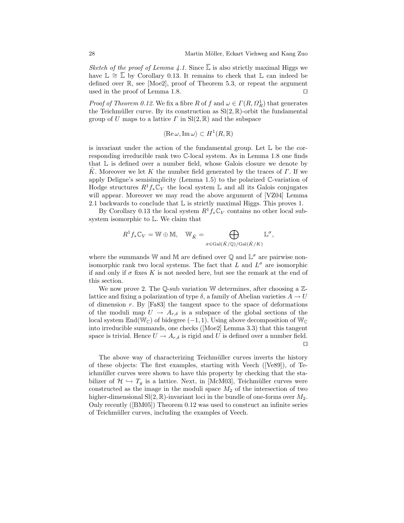Sketch of the proof of Lemma 4.1. Since  $\overline{L}$  is also strictly maximal Higgs we have  $\mathbb{L} \cong \overline{\mathbb{L}}$  by Corollary 0.13. It remains to check that  $\mathbb{L}$  can indeed be defined over R, see [Moe2], proof of Theorem 5.3, or repeat the argument used in the proof of Lemma 1.8.  $\Box$ 

*Proof of Theorem 0.12.* We fix a fibre R of f and  $\omega \in \Gamma(R, \Omega_R^1)$  that generates the Teichmüller curve. By its construction as  $Sl(2, \mathbb{R})$ -orbit the fundamental group of U maps to a lattice  $\Gamma$  in  $\text{Sl}(2,\mathbb{R})$  and the subspace

$$
\langle \operatorname{Re} \omega, \operatorname{Im} \omega \rangle \subset H^1(R, \mathbb{R})
$$

is invariant under the action of the fundamental group. Let  $\mathbb L$  be the corresponding irreducible rank two C-local system. As in Lemma 1.8 one finds that  $\mathbb L$  is defined over a number field, whose Galois closure we denote by K. Moreover we let K the number field generated by the traces of  $\Gamma$ . If we apply Deligne's semisimplicity (Lemma 1.5) to the polarized C-variation of Hodge structures  $R^1f_*\mathbb{C}_V$  the local system L and all its Galois conjugates will appear. Moreover we may read the above argument of [VZ04] Lemma 2.1 backwards to conclude that L is strictly maximal Higgs. This proves 1.

By Corollary 0.13 the local system  $R^1f_*\mathbb{C}_V$  contains no other local subsystem isomorphic to L. We claim that

$$
R^1 f_* \mathbb{C}_V = \mathbb{W} \oplus \mathbb{M}, \quad \mathbb{W}_{\tilde{K}} = \bigoplus_{\sigma \in \text{Gal}(\tilde{K}/\mathbb{Q})/\text{Gal}(\tilde{K}/K)} \mathbb{L}^{\sigma},
$$

where the summands W and M are defined over  $\mathbb Q$  and  $\mathbb L^{\sigma}$  are pairwise nonisomorphic rank two local systems. The fact that L and  $L^{\sigma}$  are isomorphic if and only if  $\sigma$  fixes K is not needed here, but see the remark at the end of this section.

We now prove 2. The  $\mathbb Q$ -sub variation W determines, after choosing a  $\mathbb Z$ lattice and fixing a polarization of type  $\delta$ , a family of Abelian varieties  $A \to U$ of dimension  $r$ . By  $[Fa83]$  the tangent space to the space of deformations of the moduli map  $U \to A_{r,\delta}$  is a subspace of the global sections of the local system  $\mathbb{E} \text{nd}(\mathbb{W}_{\mathbb{C}})$  of bidegree  $(-1, 1)$ . Using above decomposition of  $\mathbb{W}_{\mathbb{C}}$ into irreducible summands, one checks ([Moe2] Lemma 3.3) that this tangent space is trivial. Hence  $U \to A_{r,\delta}$  is rigid and U is defined over a number field.  $\Box$ 

The above way of characterizing Teichmüller curves inverts the history of these objects: The first examples, starting with Veech ([Ve89]), of Teichmüller curves were shown to have this property by checking that the stabilizer of  $\mathcal{H} \hookrightarrow T_g$  is a lattice. Next, in [McM03], Teichmüller curves were constructed as the image in the moduli space  $M_2$  of the intersection of two higher-dimensional  $\text{Sl}(2,\mathbb{R})$ -invariant loci in the bundle of one-forms over  $M_2$ . Only recently ([BM05]) Theorem 0.12 was used to construct an infinite series of Teichmüller curves, including the examples of Veech.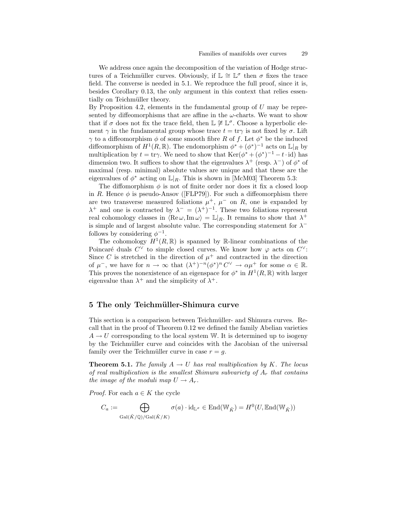We address once again the decomposition of the variation of Hodge structures of a Teichmüller curves. Obviously, if  $\mathbb{L} \cong \mathbb{L}^{\sigma}$  then  $\sigma$  fixes the trace field. The converse is needed in 5.1. We reproduce the full proof, since it is, besides Corollary 0.13, the only argument in this context that relies essentially on Teichmüller theory.

By Proposition 4.2, elements in the fundamental group of  $U$  may be represented by diffeomorphisms that are affine in the  $\omega$ -charts. We want to show that if  $\sigma$  does not fix the trace field, then  $\mathbb{L} \not\cong \mathbb{L}^{\sigma}$ . Choose a hyperbolic element  $\gamma$  in the fundamental group whose trace  $t = \text{tr}\gamma$  is not fixed by  $\sigma$ . Lift  $\gamma$  to a diffeomorphism  $\phi$  of some smooth fibre R of f. Let  $\phi^*$  be the induced diffeomorphism of  $H^1(R,\mathbb{R})$ . The endomorphism  $\phi^* + (\phi^*)^{-1}$  acts on  $\mathbb{L}|_R$  by multiplication by  $t = \text{tr}\gamma$ . We need to show that  $\text{Ker}(\phi^* + (\phi^*)^{-1} - t \cdot \text{id})$  has dimension two. It suffices to show that the eigenvalues  $\lambda^+$  (resp.  $\lambda^-$ ) of  $\phi^*$  of maximal (resp. minimal) absolute values are unique and that these are the eigenvalues of  $\phi^*$  acting on  $\mathbb{L}|_R$ . This is shown in [McM03] Theorem 5.3:

The diffomorphism  $\phi$  is not of finite order nor does it fix a closed loop in R. Hence  $\phi$  is pseudo-Ansov ([FLP79]). For such a diffeomorphism there are two transverse measured foliations  $\mu^+$ ,  $\mu^-$  on R, one is expanded by  $\lambda^+$  and one is contracted by  $\lambda^- = (\lambda^+)^{-1}$ . These two foliations represent real cohomology classes in  $\langle \text{Re}\,\omega,\text{Im}\,\omega \rangle = \mathbb{L}|_R$ . It remains to show that  $\lambda^+$ is simple and of largest absolute value. The corresponding statement for  $\lambda^$ follows by considering  $\phi^{-1}$ .

The cohomology  $H^1(R,\mathbb{R})$  is spanned by R-linear combinations of the Poincaré duals  $C^{\vee}$  to simple closed curves. We know how  $\varphi$  acts on  $C^{\vee}$ : Since C is stretched in the direction of  $\mu^+$  and contracted in the direction of  $\mu^-$ , we have for  $n \to \infty$  that  $(\lambda^+)^{-n} (\phi^*)^n C^\vee \to \alpha \mu^+$  for some  $\alpha \in \mathbb{R}$ . This proves the nonexistence of an eigenspace for  $\phi^*$  in  $H^1(R,\mathbb{R})$  with larger eigenvalue than  $\lambda^+$  and the simplicity of  $\lambda^+$ .

## 5 The only Teichmüller-Shimura curve

This section is a comparison between Teichmüller- and Shimura curves. Recall that in the proof of Theorem 0.12 we defined the family Abelian varieties  $A \rightarrow U$  corresponding to the local system W. It is determined up to isogeny by the Teichmüller curve and coincides with the Jacobian of the universal family over the Teichmüller curve in case  $r = q$ .

**Theorem 5.1.** The family  $A \rightarrow U$  has real multiplication by K. The locus of real multiplication is the smallest Shimura subvariety of  $A_r$  that contains the image of the moduli map  $U \to A_r$ .

*Proof.* For each  $a \in K$  the cycle

$$
C_a := \bigoplus_{\text{Gal}(\tilde{K}/\mathbb{Q})/\text{Gal}(\tilde{K}/K)} \sigma(a) \cdot \text{id}_{\mathbb{L}^{\sigma}} \in \text{End}(\mathbb{W}_{\tilde{K}}) = H^0(U, \text{End}(\mathbb{W}_{\tilde{K}}))
$$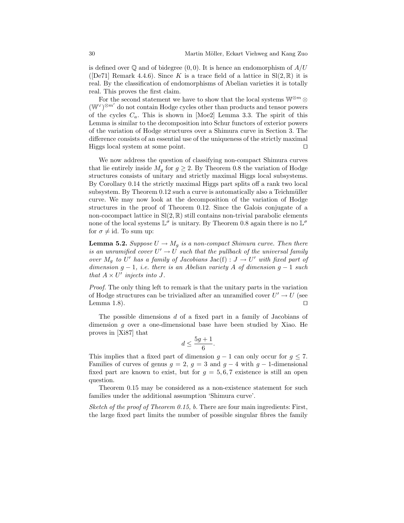is defined over  $\mathbb Q$  and of bidegree  $(0, 0)$ . It is hence an endomorphism of  $A/U$ ([De71] Remark 4.4.6). Since K is a trace field of a lattice in  $Sl(2, \mathbb{R})$  it is real. By the classification of endomorphisms of Abelian varieties it is totally real. This proves the first claim.

For the second statement we have to show that the local systems  $\mathbb{W}^{\otimes m} \otimes$  $(\mathbb{W}^{\vee})^{\otimes m'}$  do not contain Hodge cycles other than products and tensor powers of the cycles  $C_a$ . This is shown in [Moe2] Lemma 3.3. The spirit of this Lemma is similar to the decomposition into Schur functors of exterior powers of the variation of Hodge structures over a Shimura curve in Section 3. The difference consists of an essential use of the uniqueness of the strictly maximal Higgs local system at some point.  $\square$ 

We now address the question of classifying non-compact Shimura curves that lie entirely inside  $M_q$  for  $q \geq 2$ . By Theorem 0.8 the variation of Hodge structures consists of unitary and strictly maximal Higgs local subsystems. By Corollary 0.14 the strictly maximal Higgs part splits off a rank two local subsystem. By Theorem  $0.12$  such a curve is automatically also a Teichmüller curve. We may now look at the decomposition of the variation of Hodge structures in the proof of Theorem 0.12. Since the Galois conjugate of a non-cocompact lattice in  $\text{Sl}(2,\mathbb{R})$  still contains non-trivial parabolic elements none of the local systems  $\mathbb{L}^{\sigma}$  is unitary. By Theorem 0.8 again there is no  $\mathbb{L}^{\sigma}$ for  $\sigma \neq id$ . To sum up:

**Lemma 5.2.** Suppose  $U \to M_g$  is a non-compact Shimura curve. Then there is an unramified cover  $U' \to U$  such that the pullback of the universal family over  $M_g$  to U' has a family of Jacobians Jac(f) :  $J \to U'$  with fixed part of dimension  $g - 1$ , *i.e.* there is an Abelian variety A of dimension  $g - 1$  such that  $A \times U'$  injects into J.

Proof. The only thing left to remark is that the unitary parts in the variation of Hodge structures can be trivialized after an unramified cover  $U' \to U$  (see Lemma 1.8).  $\Box$ 

The possible dimensions d of a fixed part in a family of Jacobians of dimension g over a one-dimensional base have been studied by Xiao. He proves in [Xi87] that

$$
d \le \frac{5g+1}{6}.
$$

This implies that a fixed part of dimension  $g - 1$  can only occur for  $g \le 7$ . Families of curves of genus  $g = 2$ ,  $g = 3$  and  $g - 4$  with  $g - 1$ -dimensional fixed part are known to exist, but for  $g = 5, 6, 7$  existence is still an open question.

Theorem 0.15 may be considered as a non-existence statement for such families under the additional assumption 'Shimura curve'.

Sketch of the proof of Theorem 0.15, b. There are four main ingredients: First, the large fixed part limits the number of possible singular fibres the family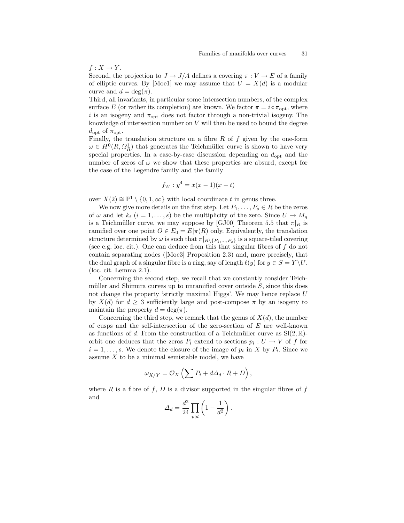$f: X \rightarrow Y$ .

Second, the projection to  $J \to J/A$  defines a covering  $\pi : V \to E$  of a family of elliptic curves. By [Moe1] we may assume that  $U = X(d)$  is a modular curve and  $d = \deg(\pi)$ .

Third, all invariants, in particular some intersection numbers, of the complex surface E (or rather its completion) are known. We factor  $\pi = i \circ \pi_{\text{opt}}$ , where i is an isogeny and  $\pi_{opt}$  does not factor through a non-trivial isogeny. The knowledge of intersection number on  $V$  will then be used to bound the degree  $d_{\text{opt}}$  of  $\pi_{\text{opt}}$ .

Finally, the translation structure on a fibre  $R$  of  $f$  given by the one-form  $\omega \in H^0(R, \Omega_R^1)$  that generates the Teichmüller curve is shown to have very special properties. In a case-by-case discussion depending on  $d_{\text{opt}}$  and the number of zeros of  $\omega$  we show that these properties are absurd, except for the case of the Legendre family and the family

$$
f_W: y^4 = x(x-1)(x-t)
$$

over  $X(2) \cong \mathbb{P}^1 \setminus \{0, 1, \infty\}$  with local coordinate t in genus three.

We now give more details on the first step. Let  $P_1, \ldots, P_s \in R$  be the zeros of  $\omega$  and let  $k_i$   $(i = 1, \ldots, s)$  be the multiplicity of the zero. Since  $U \to M_g$ is a Teichmüller curve, we may suppose by [GJ00] Theorem 5.5 that  $\pi|_R$  is ramified over one point  $O \in E_0 = E|\pi(R)$  only. Equivalently, the translation structure determined by  $\omega$  is such that  $\pi|_{R\setminus\{P_1,\ldots,P_s\}}$  is a square-tiled covering (see e.g. loc. cit.). One can deduce from this that singular fibres of  $f$  do not contain separating nodes ([Moe3] Proposition 2.3) and, more precisely, that the dual graph of a singular fibre is a ring, say of length  $\ell(y)$  for  $y \in S = Y \backslash U$ . (loc. cit. Lemma 2.1).

Concerning the second step, we recall that we constantly consider Teichmüller and Shimura curves up to unramified cover outside  $S$ , since this does not change the property 'strictly maximal Higgs'. We may hence replace U by  $X(d)$  for  $d \geq 3$  sufficiently large and post-compose  $\pi$  by an isogeny to maintain the property  $d = \deg(\pi)$ .

Concerning the third step, we remark that the genus of  $X(d)$ , the number of cusps and the self-intersection of the zero-section of  $E$  are well-known as functions of d. From the construction of a Teichmüller curve as  $Sl(2, \mathbb{R})$ orbit one deduces that the zeros  $P_i$  extend to sections  $p_i: U \to V$  of f for  $i = 1, \ldots, s$ . We denote the closure of the image of  $p_i$  in X by  $P_i$ . Since we assume  $X$  to be a minimal semistable model, we have

$$
\omega_{X/Y} = \mathcal{O}_X \left( \sum \overline{P_i} + d\Delta_d \cdot R + D \right),\,
$$

where R is a fibre of f, D is a divisor supported in the singular fibres of f and

$$
\Delta_d = \frac{d^2}{24} \prod_{p|d} \left( 1 - \frac{1}{d^2} \right).
$$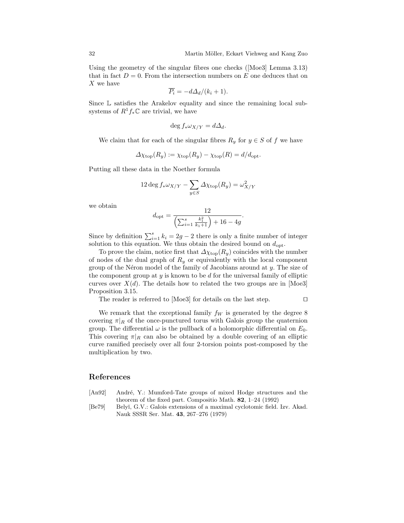Using the geometry of the singular fibres one checks ([Moe3] Lemma 3.13) that in fact  $D = 0$ . From the intersection numbers on E one deduces that on X we have

$$
\overline{P_i} = -d\Delta_d/(k_i + 1).
$$

Since L satisfies the Arakelov equality and since the remaining local subsystems of  $R^1f_*\mathbb{C}$  are trivial, we have

$$
\deg f_* \omega_{X/Y} = d\Delta_d.
$$

We claim that for each of the singular fibres  $R_y$  for  $y \in S$  of f we have

$$
\Delta \chi_{\text{top}}(R_y) := \chi_{\text{top}}(R_y) - \chi_{\text{top}}(R) = d/d_{\text{opt}}.
$$

Putting all these data in the Noether formula

$$
12 \deg f_* \omega_{X/Y} - \sum_{y \in S} \Delta \chi_{\text{top}}(R_y) = \omega_{X/Y}^2
$$

we obtain

$$
d_{\text{opt}} = \frac{12}{\left(\sum_{i=1}^{s} \frac{k_1^2}{k_1 + 1}\right) + 16 - 4g}.
$$

Since by definition  $\sum_{i=1}^{s} k_i = 2g - 2$  there is only a finite number of integer solution to this equation. We thus obtain the desired bound on  $d_{\text{opt}}$ .

To prove the claim, notice first that  $\Delta \chi_{\text{top}}(R_y)$  coincides with the number of nodes of the dual graph of  $R_y$  or equivalently with the local component group of the Néron model of the family of Jacobians around at  $y$ . The size of the component group at  $y$  is known to be  $d$  for the universal family of elliptic curves over  $X(d)$ . The details how to related the two groups are in [Moe3] Proposition 3.15.

The reader is referred to [Moe3] for details on the last step.  $\Box$ 

We remark that the exceptional family  $f_W$  is generated by the degree 8 covering  $\pi|_R$  of the once-punctured torus with Galois group the quaternion group. The differential  $\omega$  is the pullback of a holomorphic differential on  $E_0$ . This covering  $\pi|_R$  can also be obtained by a double covering of an elliptic curve ramified precisely over all four 2-torsion points post-composed by the multiplication by two.

#### References

- [An92] André, Y.: Mumford-Tate groups of mixed Hodge structures and the theorem of the fixed part. Compositio Math. 82, 1–24 (1992)
- [Be79] Belyĭ, G.V.: Galois extensions of a maximal cyclotomic field. Izv. Akad. Nauk SSSR Ser. Mat. 43, 267–276 (1979)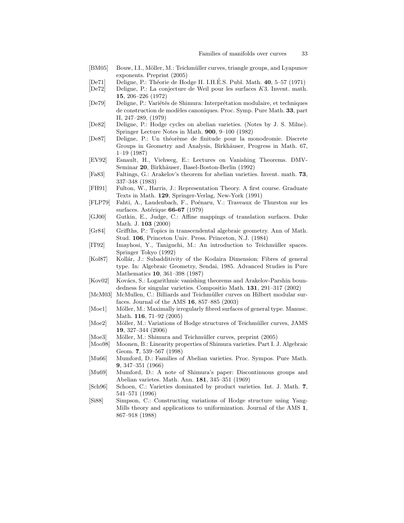- [BM05] Bouw, I.I., Möller, M.: Teichmüller curves, triangle groups, and Lyapunov exponents. Preprint (2005)
- [De71] Deligne, P.: Théorie de Hodge II. I.H.É.S. Publ. Math.  $40, 5-57$  (1971)
- [De72] Deligne, P.: La conjecture de Weil pour les surfaces K3. Invent. math. 15, 206–226 (1972)
- [De79] Deligne, P.: Variétés de Shimura: Interprétation modulaire, et techniques de construction de modèles canoniques. Proc. Symp. Pure Math. 33, part II, 247–289, (1979)
- [De82] Deligne, P.: Hodge cycles on abelian varieties. (Notes by J. S. Milne). Springer Lecture Notes in Math. 900, 9–100 (1982)
- [De87] Deligne, P.: Un théorème de finitude pour la monodromie. Discrete Groups in Geometry and Analysis, Birkhäuser, Progress in Math. 67, 1–19 (1987)
- [EV92] Esnault, H., Viehweg, E.: Lectures on Vanishing Theorems. DMV-Seminar 20, Birkhäuser, Basel-Boston-Berlin (1992)
- [Fa83] Faltings, G.: Arakelov's theorem for abelian varieties. Invent. math. 73, 337–348 (1983)
- [FH91] Fulton, W., Harris, J.: Representation Theory. A first course. Graduate Texts in Math. 129, Springer-Verlag, New-York (1991)
- [FLP79] Fahti, A., Laudenbach, F., Poénaru, V.: Traveaux de Thurston sur les surfaces. Astérique  $66-67$  (1979)
- [GJ00] Gutkin, E., Judge, C.: Affine mappings of translation surfaces. Duke Math. J. 103 (2000)
- [Gr84] Griffths, P.: Topics in transcendental algebraic geometry. Ann of Math. Stud. 106, Princeton Univ. Press. Princeton, N.J. (1984)
- [IT92] Imayhosi, Y., Taniguchi, M.: An introduction to Teichmüller spaces. Springer Tokyo (1992)
- [Kol87] Kollár, J.: Subadditivity of the Kodaira Dimension: Fibres of general type. In: Algebraic Geometry, Sendai, 1985. Advanced Studies in Pure Mathematics 10, 361–398 (1987)
- [Kov02] Kovács, S.: Logarithmic vanishing theorems and Arakelov-Parshin boundedness for singular varieties. Compositio Math. 131, 291–317 (2002)
- [McM03] McMullen, C.: Billiards and Teichmüller curves on Hilbert modular surfaces. Journal of the AMS 16, 857–885 (2003)
- [Moe1] Möller, M.: Maximally irregularly fibred surfaces of general type. Manusc. Math. 116, 71–92 (2005)
- [Moe2] Möller, M.: Variations of Hodge structures of Teichmüller curves, JAMS 19, 327–344 (2006)
- [Moe3] Möller, M.: Shimura and Teichmüller curves, preprint (2005)
- [Moo98] Moonen, B.: Linearity properties of Shimura varieties. Part I. J. Algebraic Geom. 7, 539–567 (1998)
- [Mu66] Mumford, D.: Families of Abelian varieties. Proc. Sympos. Pure Math. 9, 347–351 (1966)
- [Mu69] Mumford, D.: A note of Shimura's paper: Discontinuous groups and Abelian varietes. Math. Ann. 181, 345–351 (1969)
- [Sch96] Schoen, C.: Varieties dominated by product varieties. Int. J. Math. 7, 541–571 (1996)
- [Si88] Simpson, C.: Constructing variations of Hodge structure using Yang-Mills theory and applications to uniformization. Journal of the AMS 1, 867–918 (1988)